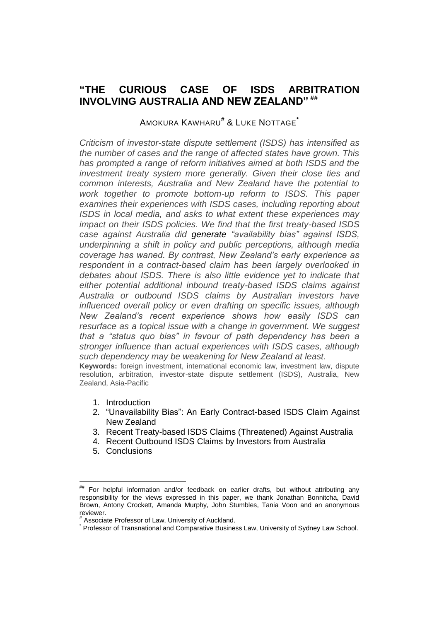# **"THE CURIOUS CASE OF ISDS ARBITRATION INVOLVING AUSTRALIA AND NEW ZEALAND" ##**

## AMOKURA KAWHARU**#** & LUKE NOTTAGE**\***

*Criticism of investor-state dispute settlement (ISDS) has intensified as the number of cases and the range of affected states have grown. This has prompted a range of reform initiatives aimed at both ISDS and the investment treaty system more generally. Given their close ties and common interests, Australia and New Zealand have the potential to work together to promote bottom-up reform to ISDS. This paper examines their experiences with ISDS cases, including reporting about ISDS in local media, and asks to what extent these experiences may impact on their ISDS policies. We find that the first treaty-based ISDS case against Australia did generate "availability bias" against ISDS, underpinning a shift in policy and public perceptions, although media coverage has waned. By contrast, New Zealand's early experience as respondent in a contract-based claim has been largely overlooked in debates about ISDS. There is also little evidence yet to indicate that either potential additional inbound treaty-based ISDS claims against Australia or outbound ISDS claims by Australian investors have influenced overall policy or even drafting on specific issues, although New Zealand's recent experience shows how easily ISDS can resurface as a topical issue with a change in government. We suggest that a "status quo bias" in favour of path dependency has been a stronger influence than actual experiences with ISDS cases, although such dependency may be weakening for New Zealand at least.*

**Keywords:** foreign investment, international economic law, investment law, dispute resolution, arbitration, investor-state dispute settlement (ISDS), Australia, New Zealand, Asia-Pacific

- 1. Introduction
- 2. "Unavailability Bias": An Early Contract-based ISDS Claim Against New Zealand
- 3. Recent Treaty-based ISDS Claims (Threatened) Against Australia
- 4. Recent Outbound ISDS Claims by Investors from Australia
- 5. Conclusions

 $\overline{a}$ For helpful information and/or feedback on earlier drafts, but without attributing any responsibility for the views expressed in this paper, we thank Jonathan Bonnitcha, David Brown, Antony Crockett, Amanda Murphy, John Stumbles, Tania Voon and an anonymous reviewer.

<sup>#</sup> Associate Professor of Law, University of Auckland.

<sup>\*</sup> Professor of Transnational and Comparative Business Law, University of Sydney Law School.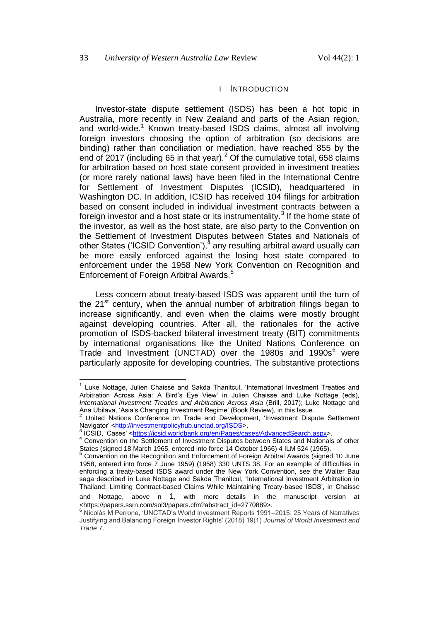#### I INTRODUCTION

<span id="page-1-0"></span>Investor-state dispute settlement (ISDS) has been a hot topic in Australia, more recently in New Zealand and parts of the Asian region, and world-wide.<sup>1</sup> Known treaty-based ISDS claims, almost all involving foreign investors choosing the option of arbitration (so decisions are binding) rather than conciliation or mediation, have reached 855 by the end of 2017 (including 65 in that year).<sup>2</sup> Of the cumulative total, 658 claims for arbitration based on host state consent provided in investment treaties (or more rarely national laws) have been filed in the International Centre for Settlement of Investment Disputes (ICSID), headquartered in Washington DC. In addition, ICSID has received 104 filings for arbitration based on consent included in individual investment contracts between a foreign investor and a host state or its instrumentality.<sup>3</sup> If the home state of the investor, as well as the host state, are also party to the Convention on the Settlement of Investment Disputes between States and Nationals of other States ('ICSID Convention'),<sup>4</sup> any resulting arbitral award usually can be more easily enforced against the losing host state compared to enforcement under the 1958 New York Convention on Recognition and Enforcement of Foreign Arbitral Awards.<sup>5</sup>

<span id="page-1-1"></span>Less concern about treaty-based ISDS was apparent until the turn of the  $21<sup>st</sup>$  century, when the annual number of arbitration filings began to increase significantly, and even when the claims were mostly brought against developing countries. After all, the rationales for the active promotion of ISDS-backed bilateral investment treaty (BIT) commitments by international organisations like the United Nations Conference on Trade and Investment (UNCTAD) over the 1980s and 1990s $<sup>6</sup>$  were</sup> particularly apposite for developing countries. The substantive protections

<sup>1</sup> Luke Nottage, Julien Chaisse and Sakda Thanitcul, 'International Investment Treaties and Arbitration Across Asia: A Bird's Eye View' in Julien Chaisse and Luke Nottage (eds), *International Investment Treaties and Arbitration Across Asia (Brill, 2017); Luke Nottage and* Ana Ubilava, 'Asia's Changing Investment Regime' (Book Review), in this Issue.

 $2$  United Nations Conference on Trade and Development, 'Investment Dispute Settlement Navigator' [<http://investmentpolicyhub.unctad.org/ISDS>](http://investmentpolicyhub.unctad.org/ISDS).

<sup>&</sup>lt;sup>3</sup> ICSID, 'Cases' [<https://icsid.worldbank.org/en/Pages/cases/AdvancedSearch.aspx>](https://icsid.worldbank.org/en/Pages/cases/AdvancedSearch.aspx).

<sup>4</sup> Convention on the Settlement of Investment Disputes between States and Nationals of other States (signed 18 March 1965, entered into force 14 October 1966) 4 ILM 524 (1965).

<sup>5</sup> Convention on the Recognition and Enforcement of Foreign Arbitral Awards (signed 10 June 1958, entered into force 7 June 1959) (1958) 330 UNTS 38. For an example of difficulties in enforcing a treaty-based ISDS award under the New York Convention, see the Walter Bau saga described in Luke Nottage and Sakda Thanitcul, 'International Investment Arbitration in Thailand: Limiting Contract-based Claims While Maintaining Treaty-based ISDS', in Chaisse

and Nottage, above n [1](#page-1-0), with more details in the manuscript version at <https://papers.ssrn.com/sol3/papers.cfm?abstract\_id=2770889>.

<sup>6</sup> Nicolás M Perrone, 'UNCTAD's World Investment Reports 1991–2015: 25 Years of Narratives Justifying and Balancing Foreign Investor Rights' (2018) 19(1) *Journal of World Investment and Trade* 7.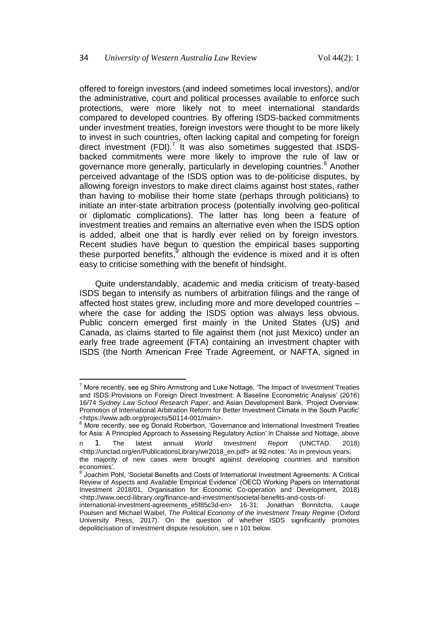offered to foreign investors (and indeed sometimes local investors), and/or the administrative, court and political processes available to enforce such protections, were more likely not to meet international standards compared to developed countries. By offering ISDS-backed commitments under investment treaties, foreign investors were thought to be more likely to invest in such countries, often lacking capital and competing for foreign direct investment (FDI). $^7$  It was also sometimes suggested that ISDSbacked commitments were more likely to improve the rule of law or governance more generally, particularly in developing countries.<sup>8</sup> Another perceived advantage of the ISDS option was to de-politicise disputes, by allowing foreign investors to make direct claims against host states, rather than having to mobilise their home state (perhaps through politicians) to initiate an inter-state arbitration process (potentially involving geo-political or diplomatic complications). The latter has long been a feature of investment treaties and remains an alternative even when the ISDS option is added, albeit one that is hardly ever relied on by foreign investors. Recent studies have begun to question the empirical bases supporting these purported benefits, $9$  although the evidence is mixed and it is often easy to criticise something with the benefit of hindsight.

<span id="page-2-0"></span>Quite understandably, academic and media criticism of treaty-based ISDS began to intensify as numbers of arbitration filings and the range of affected host states grew, including more and more developed countries – where the case for adding the ISDS option was always less obvious. Public concern emerged first mainly in the United States (US) and Canada, as claims started to file against them (not just Mexico) under an early free trade agreement (FTA) containing an investment chapter with ISDS (the North American Free Trade Agreement, or NAFTA, signed in

l

<sup>7</sup> More recently, see eg Shiro Armstrong and Luke Nottage, 'The Impact of Investment Treaties and ISDS Provisions on Foreign Direct Investment: A Baseline Econometric Analysis' (2016) 16/74 *Sydney Law School Research Paper*, and Asian Development Bank, 'Project Overview: Promotion of International Arbitration Reform for Better Investment Climate in the South Pacific' <https://www.adb.org/projects/50114-001/main>.

<sup>&</sup>lt;sup>8</sup> More recently, see eg Donald Robertson, 'Governance and International Investment Treaties for Asia: A Principled Approach to Assessing Regulatory Action' in Chaisse and Nottage, above

n [1](#page-1-0). The latest annual *World Investment Report* (UNCTAD, 2018) <http://unctad.org/en/PublicationsLibrary/wir2018\_en.pdf> at 92 notes: 'As in previous years, the majority of new cases were brought against developing countries and transition economies'.

<sup>9</sup> Joachim Pohl, 'Societal Benefits and Costs of International Investment Agreements: A Critical Review of Aspects and Available Empirical Evidence' (OECD Working Papers on International Investment 2018/01, Organisation for Economic Co-operation and Development, 2018) <http://www.oecd-ilibrary.org/finance-and-investment/societal-benefits-and-costs-of-

international-investment-agreements e5f85c3d-en> 16-31; Jonathan Bonnitcha, Lauge Poulsen and Michael Waibel, *The Political Economy of the Investment Treaty Regime* (Oxford University Press, 2017). On the question of whether ISDS significantly promotes depoliticisation of investment dispute resolution, see n 101 below.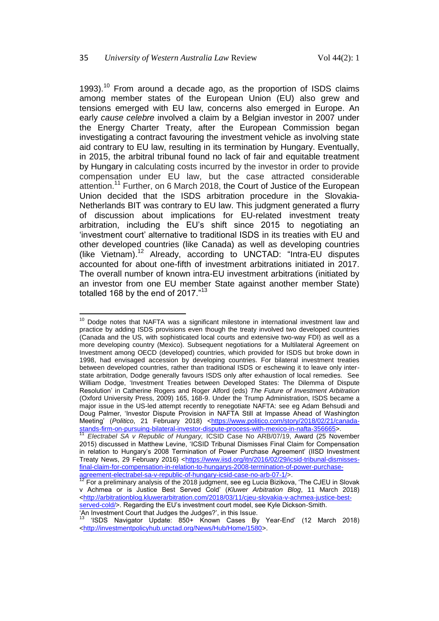1993).<sup>10</sup> From around a decade ago, as the proportion of ISDS claims among member states of the European Union (EU) also grew and tensions emerged with EU law, concerns also emerged in Europe. An early *cause celebre* involved a claim by a Belgian investor in 2007 under the Energy Charter Treaty, after the European Commission began investigating a contract favouring the investment vehicle as involving state aid contrary to EU law, resulting in its termination by Hungary. Eventually, in 2015, the arbitral tribunal found no lack of fair and equitable treatment by Hungary in calculating costs incurred by the investor in order to provide compensation under EU law, but the case attracted considerable attention.<sup>11</sup> Further, on 6 March 2018, the Court of Justice of the European Union decided that the ISDS arbitration procedure in the Slovakia-Netherlands BIT was contrary to EU law. This judgment generated a flurry of discussion about implications for EU-related investment treaty arbitration, including the EU's shift since 2015 to negotiating an 'investment court' alternative to traditional ISDS in its treaties with EU and other developed countries (like Canada) as well as developing countries (like Vietnam).<sup>12</sup> Already, according to UNCTAD: "Intra-EU disputes accounted for about one-fifth of investment arbitrations initiated in 2017. The overall number of known intra-EU investment arbitrations (initiated by an investor from one EU member State against another member State) totalled 168 by the end of 2017."<sup>13</sup>

 $\overline{\phantom{a}}$ <sup>10</sup> Dodge notes that NAFTA was a significant milestone in international investment law and practice by adding ISDS provisions even though the treaty involved two developed countries (Canada and the US, with sophisticated local courts and extensive two-way FDI) as well as a more developing country (Mexico). Subsequent negotiations for a Multilateral Agreement on Investment among OECD (developed) countries, which provided for ISDS but broke down in 1998, had envisaged accession by developing countries. For bilateral investment treaties between developed countries, rather than traditional ISDS or eschewing it to leave only interstate arbitration, Dodge generally favours ISDS only after exhaustion of local remedies. See William Dodge, 'Investment Treaties between Developed States: The Dilemma of Dispute Resolution' in Catherine Rogers and Roger Alford (eds) *The Future of Investment Arbitration* (Oxford University Press, 2009) 165, 168-9. Under the Trump Administration, ISDS became a major issue in the US-led attempt recently to renegotiate NAFTA: see eg Adam Behsudi and Doug Palmer, 'Investor Dispute Provision in NAFTA Still at Impasse Ahead of Washington Meeting' (Politico, 21 February 2018) [<https://www.politico.com/story/2018/02/21/canada](https://www.politico.com/story/2018/02/21/canada-stands-firm-on-pursuing-bilateral-investor-dispute-process-with-mexico-in-nafta-356665)[stands-firm-on-pursuing-bilateral-investor-dispute-process-with-mexico-in-nafta-356665>](https://www.politico.com/story/2018/02/21/canada-stands-firm-on-pursuing-bilateral-investor-dispute-process-with-mexico-in-nafta-356665).

<sup>11</sup> *Electrabel SA v Republic of Hungary,* ICSID Case No ARB/07/19, Award (25 November 2015) discussed in Matthew Levine, 'ICSID Tribunal Dismisses Final Claim for Compensation in relation to Hungary's 2008 Termination of Power Purchase Agreement' (IISD Investment Treaty News, 29 February 2016) [<https://www.iisd.org/itn/2016/02/29/icsid-tribunal-dismisses](https://www.iisd.org/itn/2016/02/29/icsid-tribunal-dismisses-final-claim-for-compensation-in-relation-to-hungarys-2008-termination-of-power-purchase-agreement-electrabel-sa-v-republic-of-hungary-icsid-case-no-arb-07-1/)[final-claim-for-compensation-in-relation-to-hungarys-2008-termination-of-power-purchase](https://www.iisd.org/itn/2016/02/29/icsid-tribunal-dismisses-final-claim-for-compensation-in-relation-to-hungarys-2008-termination-of-power-purchase-agreement-electrabel-sa-v-republic-of-hungary-icsid-case-no-arb-07-1/)[agreement-electrabel-sa-v-republic-of-hungary-icsid-case-no-arb-07-1/>](https://www.iisd.org/itn/2016/02/29/icsid-tribunal-dismisses-final-claim-for-compensation-in-relation-to-hungarys-2008-termination-of-power-purchase-agreement-electrabel-sa-v-republic-of-hungary-icsid-case-no-arb-07-1/).

 $12$  For a preliminary analysis of the 2018 judgment, see eg Lucia Bizikova, 'The CJEU in Slovak v Achmea or is Justice Best Served Cold' (*Kluwer Arbitration Blog*, 11 March 2018) [<http://arbitrationblog.kluwerarbitration.com/2018/03/11/cjeu-slovakia-v-achmea-justice-best](http://arbitrationblog.kluwerarbitration.com/2018/03/11/cjeu-slovakia-v-achmea-justice-best-served-cold/)[served-cold/>](http://arbitrationblog.kluwerarbitration.com/2018/03/11/cjeu-slovakia-v-achmea-justice-best-served-cold/). Regarding the EU's investment court model, see Kyle Dickson-Smith. 'An Investment Court that Judges the Judges?', in this Issue.

<sup>13</sup> 'ISDS Navigator Update: 850+ Known Cases By Year-End' (12 March 2018) [<http://investmentpolicyhub.unctad.org/News/Hub/Home/1580>](http://investmentpolicyhub.unctad.org/News/Hub/Home/1580).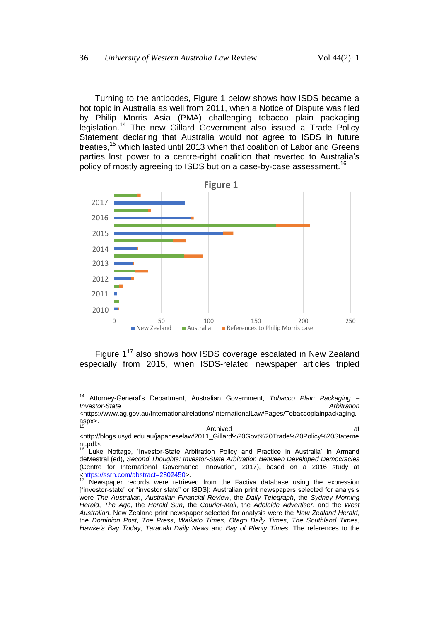Turning to the antipodes, Figure 1 below shows how ISDS became a hot topic in Australia as well from 2011, when a Notice of Dispute was filed by Philip Morris Asia (PMA) challenging tobacco plain packaging legislation.<sup>14</sup> The new Gillard Government also issued a Trade Policy Statement declaring that Australia would not agree to ISDS in future treaties,<sup>15</sup> which lasted until 2013 when that coalition of Labor and Greens parties lost power to a centre-right coalition that reverted to Australia's policy of mostly agreeing to ISDS but on a case-by-case assessment.<sup>16</sup>

<span id="page-4-0"></span>

<span id="page-4-1"></span>Figure  $1^{17}$  also shows how ISDS coverage escalated in New Zealand especially from 2015, when ISDS-related newspaper articles tripled

 $14$ <sup>14</sup> Attorney-General's Department, Australian Government, *Tobacco Plain Packaging – Investor-State Arbitration*

<sup>&</sup>lt;https://www.ag.gov.au/Internationalrelations/InternationalLaw/Pages/Tobaccoplainpackaging. aspx>. 15 au de la contradicte de la contradicte de la contradicte de la contradicte de la contradicte de la contradicte de la contradicte de la contradicte de la contradicte de la contradicte de la contradicte de la contradicte

<sup>&</sup>lt;http://blogs.usyd.edu.au/japaneselaw/2011\_Gillard%20Govt%20Trade%20Policy%20Stateme nt.pdf>.

Luke Nottage, 'Investor-State Arbitration Policy and Practice in Australia' in Armand deMestral (ed), *Second Thoughts: Investor-State Arbitration Between Developed Democracies* (Centre for International Governance Innovation, 2017), based on a 2016 study at [<https://ssrn.com/abstract=2802450>](https://ssrn.com/abstract=2802450).

Newspaper records were retrieved from the Factiva database using the expression ["investor-state" or "investor state" or ISDS]: Australian print newspapers selected for analysis were *The Australian*, *Australian Financial Review*, the *Daily Telegraph*, the *Sydney Morning Herald*, *The Age*, the *Herald Sun*, the *Courier-Mail*, the *Adelaide Advertiser*, and the *West Australian*. New Zealand print newspaper selected for analysis were the *New Zealand Herald*, the *Dominion Post*, *The Press*, *Waikato Times*, *Otago Daily Times*, *The Southland Times*, *Hawke's Bay Today*, *Taranaki Daily News* and *Bay of Plenty Times*. The references to the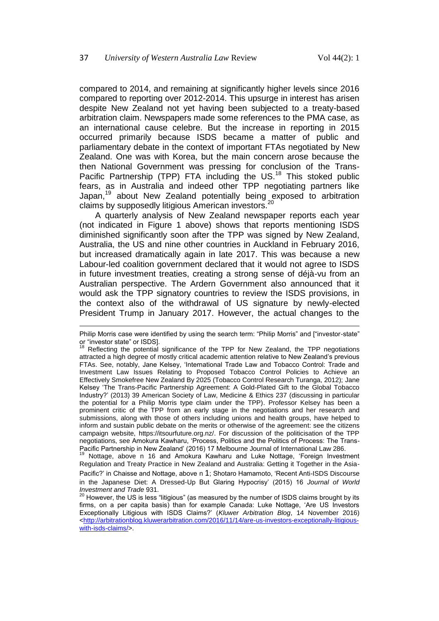l

compared to 2014, and remaining at significantly higher levels since 2016 compared to reporting over 2012-2014. This upsurge in interest has arisen despite New Zealand not yet having been subjected to a treaty-based arbitration claim. Newspapers made some references to the PMA case, as an international cause celebre. But the increase in reporting in 2015 occurred primarily because ISDS became a matter of public and parliamentary debate in the context of important FTAs negotiated by New Zealand. One was with Korea, but the main concern arose because the then National Government was pressing for conclusion of the Trans-Pacific Partnership (TPP) FTA including the US.<sup>18</sup> This stoked public fears, as in Australia and indeed other TPP negotiating partners like Japan,<sup>19</sup> about New Zealand potentially being exposed to arbitration claims by supposedly litigious American investors.<sup>20</sup>

A quarterly analysis of New Zealand newspaper reports each year (not indicated in Figure 1 above) shows that reports mentioning ISDS diminished significantly soon after the TPP was signed by New Zealand, Australia, the US and nine other countries in Auckland in February 2016, but increased dramatically again in late 2017. This was because a new Labour-led coalition government declared that it would not agree to ISDS in future investment treaties, creating a strong sense of déjà-vu from an Australian perspective. The Ardern Government also announced that it would ask the TPP signatory countries to review the ISDS provisions, in the context also of the withdrawal of US signature by newly-elected President Trump in January 2017. However, the actual changes to the

<sup>19</sup> Nottage, above n [16](#page-4-0) and Amokura Kawharu and Luke Nottage, 'Foreign Investment Regulation and Treaty Practice in New Zealand and Australia: Getting it Together in the Asia-

Pacific?' in Chaisse and Nottage, above n [1](#page-1-0); Shotaro Hamamoto, 'Recent Anti-ISDS Discourse in the Japanese Diet: A Dressed-Up But Glaring Hypocrisy' (2015) 16 *Journal of World Investment and Trade* 931.

Philip Morris case were identified by using the search term: "Philip Morris" and ["investor-state" or "investor state" or ISDS].

<sup>&</sup>lt;sup>18</sup> Reflecting the potential significance of the TPP for New Zealand, the TPP negotiations attracted a high degree of mostly critical academic attention relative to New Zealand's previous FTAs. See, notably, Jane Kelsey, 'International Trade Law and Tobacco Control: Trade and Investment Law Issues Relating to Proposed Tobacco Control Policies to Achieve an Effectively Smokefree New Zealand By 2025 (Tobacco Control Research Turanga, 2012); Jane Kelsey 'The Trans-Pacific Partnership Agreement: A Gold-Plated Gift to the Global Tobacco Industry?' (2013) 39 American Society of Law, Medicine & Ethics 237 (discussing in particular the potential for a Philip Morris type claim under the TPP). Professor Kelsey has been a prominent critic of the TPP from an early stage in the negotiations and her research and submissions, along with those of others including unions and health groups, have helped to inform and sustain public debate on the merits or otherwise of the agreement: see the citizens campaign website, https://itsourfuture.org.nz/. For discussion of the politicisation of the TPP negotiations, see Amokura Kawharu, 'Process, Politics and the Politics of Process: The Trans-Pacific Partnership in New Zealand' (2016) 17 Melbourne Journal of International Law 286.

 $^{20}$  However, the US is less "litigious" (as measured by the number of ISDS claims brought by its firms, on a per capita basis) than for example Canada: Luke Nottage, 'Are US Investors Exceptionally Litigious with ISDS Claims?' (*Kluwer Arbitration Blog*, 14 November 2016) [<http://arbitrationblog.kluwerarbitration.com/2016/11/14/are-us-investors-exceptionally-litigious](http://arbitrationblog.kluwerarbitration.com/2016/11/14/are-us-investors-exceptionally-litigious-with-isds-claims/)[with-isds-claims/>](http://arbitrationblog.kluwerarbitration.com/2016/11/14/are-us-investors-exceptionally-litigious-with-isds-claims/).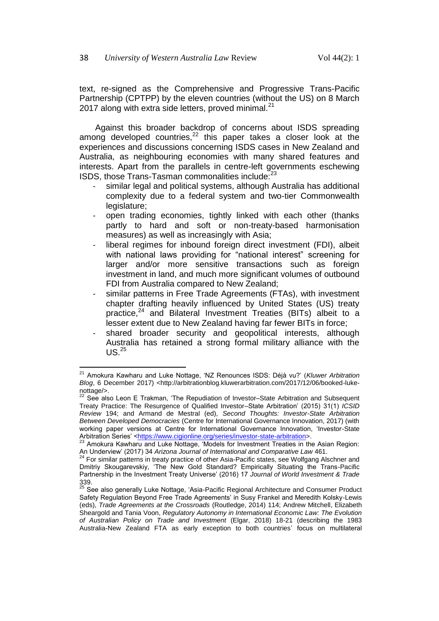text, re-signed as the Comprehensive and Progressive Trans-Pacific Partnership (CPTPP) by the eleven countries (without the US) on 8 March 2017 along with extra side letters, proved minimal.<sup>21</sup>

Against this broader backdrop of concerns about ISDS spreading among developed countries,<sup>22</sup> this paper takes a closer look at the experiences and discussions concerning ISDS cases in New Zealand and Australia, as neighbouring economies with many shared features and interests. Apart from the parallels in centre-left governments eschewing ISDS, those Trans-Tasman commonalities include: $^{23}$ 

- <span id="page-6-2"></span>similar legal and political systems, although Australia has additional complexity due to a federal system and two-tier Commonwealth legislature;
- open trading economies, tightly linked with each other (thanks partly to hard and soft or non-treaty-based harmonisation measures) as well as increasingly with Asia;
- liberal regimes for inbound foreign direct investment (FDI), albeit with national laws providing for "national interest" screening for larger and/or more sensitive transactions such as foreign investment in land, and much more significant volumes of outbound FDI from Australia compared to New Zealand;
- similar patterns in Free Trade Agreements (FTAs), with investment chapter drafting heavily influenced by United States (US) treaty practice, $^{24}$  and Bilateral Investment Treaties (BITs) albeit to a lesser extent due to New Zealand having far fewer BITs in force;
- <span id="page-6-1"></span><span id="page-6-0"></span>shared broader security and geopolitical interests, although Australia has retained a strong formal military alliance with the  $US<sup>25</sup>$

 $\overline{a}$ <sup>21</sup> Amokura Kawharu and Luke Nottage, 'NZ Renounces ISDS: Déjà vu?' (*Kluwer Arbitration Blog*, 6 December 2017) <http://arbitrationblog.kluwerarbitration.com/2017/12/06/booked-lukenottage/>.

<sup>22</sup> See also Leon E Trakman, 'The Repudiation of Investor–State Arbitration and Subsequent Treaty Practice: The Resurgence of Qualified Investor–State Arbitration' (2015) 31(1) *ICSID Review* 194; and Armand de Mestral (ed), *Second Thoughts: Investor-State Arbitration Between Developed Democracies* (Centre for International Governance Innovation, 2017) (with working paper versions at Centre for International Governance Innovation, 'Investor-State Arbitration Series' [<https://www.cigionline.org/series/investor-state-arbitration>](https://www.cigionline.org/series/investor-state-arbitration).

Amokura Kawharu and Luke Nottage, 'Models for Investment Treaties in the Asian Region: An Underview' (2017) 34 *Arizona Journal of International and Comparative Law* 461.

<sup>&</sup>lt;sup>24</sup> For similar patterns in treaty practice of other Asia-Pacific states, see Wolfgang Alschner and Dmitriy Skougarevskiy, 'The New Gold Standard? Empirically Situating the Trans-Pacific Partnership in the Investment Treaty Universe' (2016) 17 *Journal of World Investment & Trade* 339.

<sup>&</sup>lt;sup>25</sup> See also generally Luke Nottage, 'Asia-Pacific Regional Architecture and Consumer Product Safety Regulation Beyond Free Trade Agreements' in Susy Frankel and Meredith Kolsky-Lewis (eds), *Trade Agreements at the Crossroads* (Routledge, 2014) 114; Andrew Mitchell, Elizabeth Sheargold and Tania Voon, *Regulatory Autonomy in International Economic Law: The Evolution of Australian Policy on Trade and Investment* (Elgar, 2018) 18-21 (describing the 1983 Australia-New Zealand FTA as early exception to both countries' focus on multilateral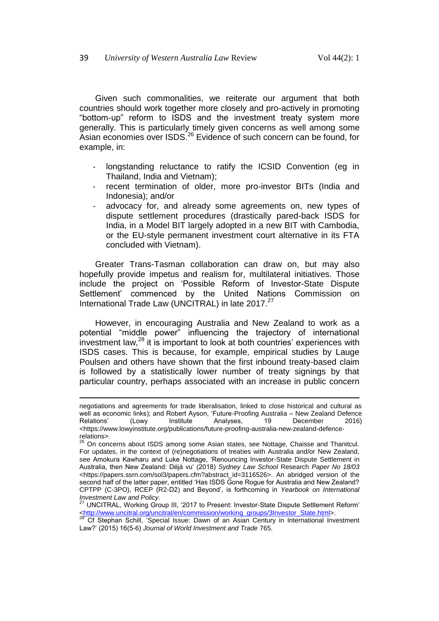Given such commonalities, we reiterate our argument that both countries should work together more closely and pro-actively in promoting "bottom-up" reform to ISDS and the investment treaty system more generally. This is particularly timely given concerns as well among some Asian economies over ISDS.<sup>26</sup> Evidence of such concern can be found, for example, in:

- <span id="page-7-0"></span>longstanding reluctance to ratify the ICSID Convention (eq in Thailand, India and Vietnam);
- recent termination of older, more pro-investor BITs (India and Indonesia); and/or
- advocacy for, and already some agreements on, new types of dispute settlement procedures (drastically pared-back ISDS for India, in a Model BIT largely adopted in a new BIT with Cambodia, or the EU-style permanent investment court alternative in its FTA concluded with Vietnam).

Greater Trans-Tasman collaboration can draw on, but may also hopefully provide impetus and realism for, multilateral initiatives. Those include the project on 'Possible Reform of Investor-State Dispute Settlement' commenced by the United Nations Commission on International Trade Law (UNCITRAL) in late 2017.<sup>27</sup>

However, in encouraging Australia and New Zealand to work as a potential "middle power" influencing the trajectory of international investment law, $^{28}$  it is important to look at both countries' experiences with ISDS cases. This is because, for example, empirical studies by Lauge Poulsen and others have shown that the first inbound treaty-based claim is followed by a statistically lower number of treaty signings by that particular country, perhaps associated with an increase in public concern

l

negotiations and agreements for trade liberalisation, linked to close historical and cultural as well as economic links); and Robert Ayson, 'Future-Proofing Australia – New Zealand Defence Relations' (Lowy Institute Analyses, 19 December 2016) <https://www.lowyinstitute.org/publications/future-proofing-australia-new-zealand-defencerelations>.

<sup>26</sup> On concerns about ISDS among some Asian states, see Nottage, Chaisse and Thanitcul. For updates, in the context of (re)negotiations of treaties with Australia and/or New Zealand, see Amokura Kawharu and Luke Nottage, 'Renouncing Investor-State Dispute Settlement in Australia, then New Zealand: Déjà vu' (2018) *Sydney Law School* Research *Paper No 18/03* <https://papers.ssrn.com/sol3/papers.cfm?abstract\_id=3116526>. An abridged version of the second half of the latter paper, entitled 'Has ISDS Gone Rogue for Australia and New Zealand? CPTPP (C-3PO), RCEP (R2-D2) and Beyond', is forthcoming in *Yearbook on International Investment Law and Policy*.

<sup>27</sup> UNCITRAL, Working Group III, '2017 to Present: Investor-State Dispute Settlement Reform' [<http://www.uncitral.org/uncitral/en/commission/working\\_groups/3Investor\\_State.html>](http://www.uncitral.org/uncitral/en/commission/working_groups/3Investor_State.html).

<sup>&</sup>lt;sup>28</sup> Cf Stephan Schill, 'Special Issue: Dawn of an Asian Century in International Investment Law?' (2015) 16(5-6) *Journal of World Investment and Trade* 765.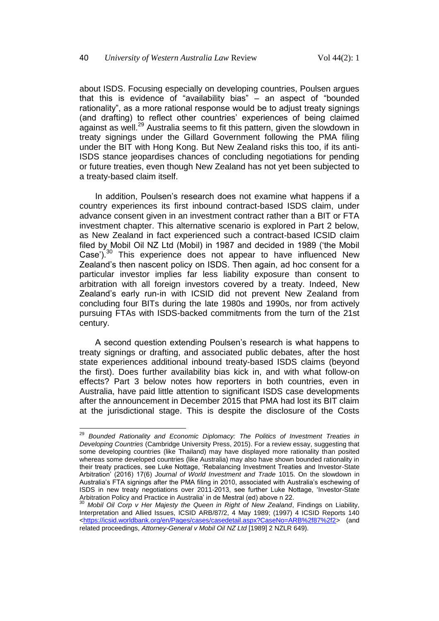<span id="page-8-0"></span>about ISDS. Focusing especially on developing countries, Poulsen argues that this is evidence of "availability bias" – an aspect of "bounded rationality", as a more rational response would be to adjust treaty signings (and drafting) to reflect other countries' experiences of being claimed against as well.<sup>29</sup> Australia seems to fit this pattern, given the slowdown in treaty signings under the Gillard Government following the PMA filing under the BIT with Hong Kong. But New Zealand risks this too, if its anti-ISDS stance jeopardises chances of concluding negotiations for pending or future treaties, even though New Zealand has not yet been subjected to a treaty-based claim itself.

In addition, Poulsen's research does not examine what happens if a country experiences its first inbound contract-based ISDS claim, under advance consent given in an investment contract rather than a BIT or FTA investment chapter. This alternative scenario is explored in Part 2 below, as New Zealand in fact experienced such a contract-based ICSID claim filed by Mobil Oil NZ Ltd (Mobil) in 1987 and decided in 1989 ('the Mobil Case').<sup>30</sup> This experience does not appear to have influenced New Zealand's then nascent policy on ISDS. Then again, ad hoc consent for a particular investor implies far less liability exposure than consent to arbitration with all foreign investors covered by a treaty. Indeed, New Zealand's early run-in with ICSID did not prevent New Zealand from concluding four BITs during the late 1980s and 1990s, nor from actively pursuing FTAs with ISDS-backed commitments from the turn of the 21st century.

A second question extending Poulsen's research is what happens to treaty signings or drafting, and associated public debates, after the host state experiences additional inbound treaty-based ISDS claims (beyond the first). Does further availability bias kick in, and with what follow-on effects? Part 3 below notes how reporters in both countries, even in Australia, have paid little attention to significant ISDS case developments after the announcement in December 2015 that PMA had lost its BIT claim at the jurisdictional stage. This is despite the disclosure of the Costs

<sup>&</sup>lt;sup>29</sup> Bounded Rationality and Economic Diplomacy: The Politics of Investment Treaties in *Developing Countries* (Cambridge University Press, 2015). For a review essay, suggesting that some developing countries (like Thailand) may have displayed more rationality than posited whereas some developed countries (like Australia) may also have shown bounded rationality in their treaty practices, see Luke Nottage, 'Rebalancing Investment Treaties and Investor-State Arbitration' (2016) 17(6) *Journal of World Investment and Trade* 1015. On the slowdown in Australia's FTA signings after the PMA filing in 2010, associated with Australia's eschewing of ISDS in new treaty negotiations over 2011-2013, see further Luke Nottage, 'Investor-State Arbitration Policy and Practice in Australia' in de Mestral (ed) above n 22.

<sup>30</sup> *Mobil Oil Corp v Her Majesty the Queen in Right of New Zealand*, Findings on Liability, Interpretation and Allied Issues, ICSID ARB/87/2, 4 May 1989; (1997) 4 ICSID Reports 140 [<https://icsid.worldbank.org/en/Pages/cases/casedetail.aspx?CaseNo=ARB%2f87%2f2>](https://icsid.worldbank.org/en/Pages/cases/casedetail.aspx?CaseNo=ARB%2f87%2f2) (and related proceedings, *Attorney-General v Mobil Oil NZ Ltd* [1989] 2 NZLR 649).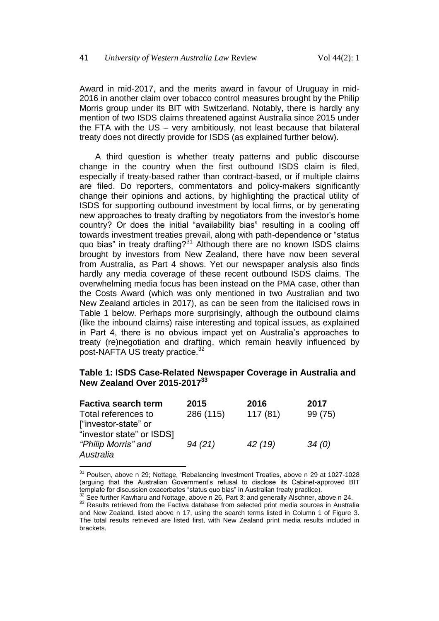Award in mid-2017, and the merits award in favour of Uruguay in mid-2016 in another claim over tobacco control measures brought by the Philip Morris group under its BIT with Switzerland. Notably, there is hardly any mention of two ISDS claims threatened against Australia since 2015 under the FTA with the US – very ambitiously, not least because that bilateral treaty does not directly provide for ISDS (as explained further below).

A third question is whether treaty patterns and public discourse change in the country when the first outbound ISDS claim is filed, especially if treaty-based rather than contract-based, or if multiple claims are filed. Do reporters, commentators and policy-makers significantly change their opinions and actions, by highlighting the practical utility of ISDS for supporting outbound investment by local firms, or by generating new approaches to treaty drafting by negotiators from the investor's home country? Or does the initial "availability bias" resulting in a cooling off towards investment treaties prevail, along with path-dependence or "status quo bias" in treaty drafting?<sup>31</sup> Although there are no known ISDS claims brought by investors from New Zealand, there have now been several from Australia, as Part 4 shows. Yet our newspaper analysis also finds hardly any media coverage of these recent outbound ISDS claims. The overwhelming media focus has been instead on the PMA case, other than the Costs Award (which was only mentioned in two Australian and two New Zealand articles in 2017), as can be seen from the italicised rows in Table 1 below. Perhaps more surprisingly, although the outbound claims (like the inbound claims) raise interesting and topical issues, as explained in Part 4, there is no obvious impact yet on Australia's approaches to treaty (re)negotiation and drafting, which remain heavily influenced by post-NAFTA US treaty practice.<sup>32</sup>

#### **Table 1: ISDS Case-Related Newspaper Coverage in Australia and New Zealand Over 2015-2017<sup>33</sup>**

| <b>Factiva search term</b> | 2015      | 2016    | 2017    |
|----------------------------|-----------|---------|---------|
| Total references to        | 286 (115) | 117(81) | 99 (75) |
| ["investor-state" or       |           |         |         |
| "investor state" or ISDS]  |           |         |         |
| "Philip Morris" and        | 94(21)    | 42 (19) | 34(0)   |
| Australia                  |           |         |         |

<sup>&</sup>lt;sup>31</sup> Poulsen, above n [29;](#page-8-0) Nottage, 'Rebalancing Investment Treaties, above n [29](#page-8-0) at 1027-1028 (arguing that the Australian Government's refusal to disclose its Cabinet-approved BIT template for discussion exacerbates "status quo bias" in Australian treaty practice).

 $2^2$  See further Kawharu and Nottage, above [n 26,](#page-7-0) Part 3; and generally Alschner, above [n 24.](#page-6-0) <sup>33</sup> Results retrieved from the Factiva database from selected print media sources in Australia and New Zealand, listed above n [17,](#page-4-1) using the search terms listed in Column 1 of Figure 3. The total results retrieved are listed first, with New Zealand print media results included in brackets.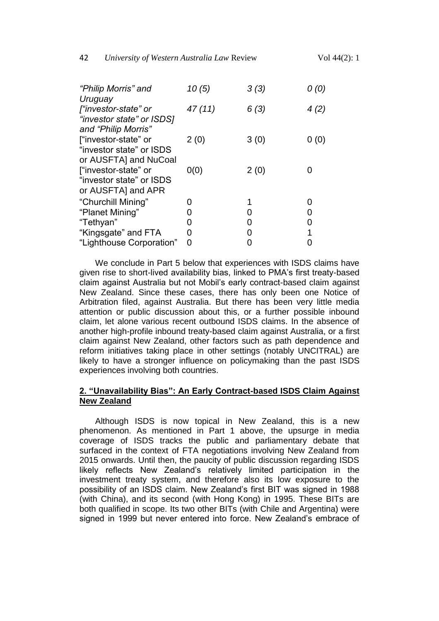| "Philip Morris" and       | 10(5)  | 3(3) | 0(0) |
|---------------------------|--------|------|------|
| Uruguay                   |        |      |      |
| l"investor-state" or      | 47(11) | 6(3) | 4(2) |
| "investor state" or ISDS] |        |      |      |
| and "Philip Morris"       |        |      |      |
| l"investor-state" or      | 2(0)   | 3(0) | 0(0) |
| "investor state" or ISDS  |        |      |      |
| or AUSFTA] and NuCoal     |        |      |      |
| ["investor-state" or      | 0(0)   | 2(0) |      |
| "investor state" or ISDS  |        |      |      |
| or AUSFTA] and APR        |        |      |      |
| "Churchill Mining"        |        |      |      |
| "Planet Mining"           |        |      | 0    |
| "Tethyan"                 |        |      | O    |
| "Kingsgate" and FTA       | 0      |      |      |
| "Lighthouse Corporation"  | O      |      |      |

We conclude in Part 5 below that experiences with ISDS claims have given rise to short-lived availability bias, linked to PMA's first treaty-based claim against Australia but not Mobil's early contract-based claim against New Zealand. Since these cases, there has only been one Notice of Arbitration filed, against Australia. But there has been very little media attention or public discussion about this, or a further possible inbound claim, let alone various recent outbound ISDS claims. In the absence of another high-profile inbound treaty-based claim against Australia, or a first claim against New Zealand, other factors such as path dependence and reform initiatives taking place in other settings (notably UNCITRAL) are likely to have a stronger influence on policymaking than the past ISDS experiences involving both countries.

### **2. "Unavailability Bias": An Early Contract-based ISDS Claim Against New Zealand**

Although ISDS is now topical in New Zealand, this is a new phenomenon. As mentioned in Part 1 above, the upsurge in media coverage of ISDS tracks the public and parliamentary debate that surfaced in the context of FTA negotiations involving New Zealand from 2015 onwards. Until then, the paucity of public discussion regarding ISDS likely reflects New Zealand's relatively limited participation in the investment treaty system, and therefore also its low exposure to the possibility of an ISDS claim. New Zealand's first BIT was signed in 1988 (with China), and its second (with Hong Kong) in 1995. These BITs are both qualified in scope. Its two other BITs (with Chile and Argentina) were signed in 1999 but never entered into force. New Zealand's embrace of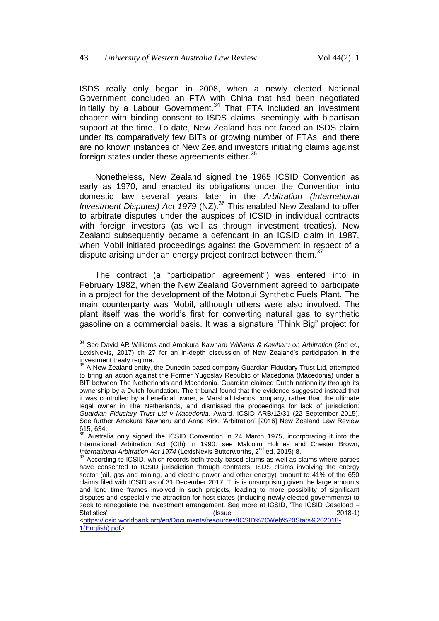<span id="page-11-1"></span>ISDS really only began in 2008, when a newly elected National Government concluded an FTA with China that had been negotiated initially by a Labour Government.<sup>34</sup> That FTA included an investment chapter with binding consent to ISDS claims, seemingly with bipartisan support at the time. To date, New Zealand has not faced an ISDS claim under its comparatively few BITs or growing number of FTAs, and there are no known instances of New Zealand investors initiating claims against foreign states under these agreements either.<sup>35</sup>

<span id="page-11-2"></span>Nonetheless, New Zealand signed the 1965 ICSID Convention as early as 1970, and enacted its obligations under the Convention into domestic law several years later in the *Arbitration (International Investment Disputes) Act 1979* (NZ).<sup>36</sup> This enabled New Zealand to offer to arbitrate disputes under the auspices of ICSID in individual contracts with foreign investors (as well as through investment treaties). New Zealand subsequently became a defendant in an ICSID claim in 1987, when Mobil initiated proceedings against the Government in respect of a dispute arising under an energy project contract between them.<sup>37</sup>

<span id="page-11-0"></span>The contract (a "participation agreement") was entered into in February 1982, when the New Zealand Government agreed to participate in a project for the development of the Motonui Synthetic Fuels Plant. The main counterparty was Mobil, although others were also involved. The plant itself was the world's first for converting natural gas to synthetic gasoline on a commercial basis. It was a signature "Think Big" project for

 $\overline{\phantom{a}}$ 

[<https://icsid.worldbank.org/en/Documents/resources/ICSID%20Web%20Stats%202018-](https://icsid.worldbank.org/en/Documents/resources/ICSID%20Web%20Stats%202018-1(English).pdf) [1\(English\).pdf>](https://icsid.worldbank.org/en/Documents/resources/ICSID%20Web%20Stats%202018-1(English).pdf).

<sup>34</sup> See David AR Williams and Amokura Kawharu *Williams & Kawharu on Arbitration* (2nd ed, LexisNexis, 2017) ch 27 for an in-depth discussion of New Zealand's participation in the investment treaty regime.

<sup>&</sup>lt;sup>35</sup> A New Zealand entity, the Dunedin-based company Guardian Fiduciary Trust Ltd, attempted to bring an action against the Former Yugoslav Republic of Macedonia (Macedonia) under a BIT between The Netherlands and Macedonia. Guardian claimed Dutch nationality through its ownership by a Dutch foundation. The tribunal found that the evidence suggested instead that it was controlled by a beneficial owner, a Marshall Islands company, rather than the ultimate legal owner in The Netherlands, and dismissed the proceedings for lack of jurisdiction: *Guardian Fiduciary Trust Ltd v Macedonia*, Award, ICSID ARB/12/31 (22 September 2015). See further Amokura Kawharu and Anna Kirk, 'Arbitration' [2016] New Zealand Law Review 615, 634.

<sup>36</sup> Australia only signed the ICSID Convention in 24 March 1975, incorporating it into the International Arbitration Act (Cth) in 1990: see Malcolm Holmes and Chester Brown, *International Arbitration Act 1974* (LexisNexis Butterworths, 2<sup>nd</sup> ed, 2015) 8.

 $37$  According to ICSID, which records both treaty-based claims as well as claims where parties have consented to ICSID jurisdiction through contracts, ISDS claims involving the energy sector (oil, gas and mining, and electric power and other energy) amount to 41% of the 650 claims filed with ICSID as of 31 December 2017. This is unsurprising given the large amounts and long time frames involved in such projects, leading to more possibility of significant disputes and especially the attraction for host states (including newly elected governments) to seek to renegotiate the investment arrangement. See more at ICSID, 'The ICSID Caseload – Statistics' (Issue 2018-1)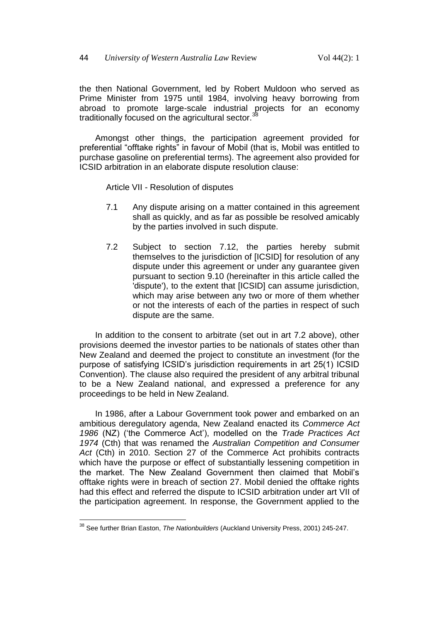the then National Government, led by Robert Muldoon who served as Prime Minister from 1975 until 1984, involving heavy borrowing from abroad to promote large-scale industrial projects for an economy traditionally focused on the agricultural sector.<sup>38</sup>

Amongst other things, the participation agreement provided for preferential "offtake rights" in favour of Mobil (that is, Mobil was entitled to purchase gasoline on preferential terms). The agreement also provided for ICSID arbitration in an elaborate dispute resolution clause:

Article VII - Resolution of disputes

- 7.1 Any dispute arising on a matter contained in this agreement shall as quickly, and as far as possible be resolved amicably by the parties involved in such dispute.
- 7.2 Subject to section 7.12, the parties hereby submit themselves to the jurisdiction of [ICSID] for resolution of any dispute under this agreement or under any guarantee given pursuant to section 9.10 (hereinafter in this article called the 'dispute'), to the extent that [ICSID] can assume jurisdiction, which may arise between any two or more of them whether or not the interests of each of the parties in respect of such dispute are the same.

In addition to the consent to arbitrate (set out in art 7.2 above), other provisions deemed the investor parties to be nationals of states other than New Zealand and deemed the project to constitute an investment (for the purpose of satisfying ICSID's jurisdiction requirements in art 25(1) ICSID Convention). The clause also required the president of any arbitral tribunal to be a New Zealand national, and expressed a preference for any proceedings to be held in New Zealand.

In 1986, after a Labour Government took power and embarked on an ambitious deregulatory agenda, New Zealand enacted its *Commerce Act 1986* (NZ) ('the Commerce Act'), modelled on the *Trade Practices Act 1974* (Cth) that was renamed the *Australian Competition and Consumer Act* (Cth) in 2010. Section 27 of the Commerce Act prohibits contracts which have the purpose or effect of substantially lessening competition in the market. The New Zealand Government then claimed that Mobil's offtake rights were in breach of section 27. Mobil denied the offtake rights had this effect and referred the dispute to ICSID arbitration under art VII of the participation agreement. In response, the Government applied to the

 $\overline{\phantom{a}}$ <sup>38</sup> See further Brian Easton, *The Nationbuilders* (Auckland University Press, 2001) 245-247.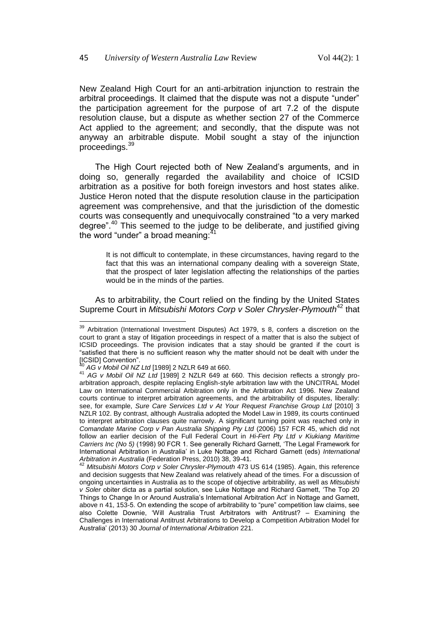New Zealand High Court for an anti-arbitration injunction to restrain the arbitral proceedings. It claimed that the dispute was not a dispute "under" the participation agreement for the purpose of art 7.2 of the dispute resolution clause, but a dispute as whether section 27 of the Commerce Act applied to the agreement; and secondly, that the dispute was not anyway an arbitrable dispute. Mobil sought a stay of the injunction proceedings.<sup>39</sup>

The High Court rejected both of New Zealand's arguments, and in doing so, generally regarded the availability and choice of ICSID arbitration as a positive for both foreign investors and host states alike. Justice Heron noted that the dispute resolution clause in the participation agreement was comprehensive, and that the jurisdiction of the domestic courts was consequently and unequivocally constrained "to a very marked degree".<sup>40</sup> This seemed to the judge to be deliberate, and justified giving the word "under" a broad meaning: $41$ 

<span id="page-13-0"></span>It is not difficult to contemplate, in these circumstances, having regard to the fact that this was an international company dealing with a sovereign State, that the prospect of later legislation affecting the relationships of the parties would be in the minds of the parties.

As to arbitrability, the Court relied on the finding by the United States Supreme Court in *Mitsubishi Motors Corp v Soler Chrysler-Plymouth*<sup>42</sup> that

<sup>&</sup>lt;sup>39</sup> Arbitration (International Investment Disputes) Act 1979, s 8, confers a discretion on the court to grant a stay of litigation proceedings in respect of a matter that is also the subject of ICSID proceedings. The provision indicates that a stay should be granted if the court is "satisfied that there is no sufficient reason why the matter should not be dealt with under the [ICSID] Convention".

<sup>40</sup> *AG v Mobil Oil NZ Ltd* [1989] 2 NZLR 649 at 660.

<sup>41</sup> *AG v Mobil Oil NZ Ltd* [1989] 2 NZLR 649 at 660. This decision reflects a strongly proarbitration approach, despite replacing English-style arbitration law with the UNCITRAL Model Law on International Commercial Arbitration only in the Arbitration Act 1996. New Zealand courts continue to interpret arbitration agreements, and the arbitrability of disputes, liberally: see, for example, *Sure Care Services Ltd v At Your Request Franchise Group Ltd* [2010] 3 NZLR 102. By contrast, although Australia adopted the Model Law in 1989, its courts continued to interpret arbitration clauses quite narrowly. A significant turning point was reached only in *Comandate Marine Corp v Pan Australia Shipping Pty Ltd* (2006) 157 FCR 45, which did not follow an earlier decision of the Full Federal Court in *Hi-Fert Pty Ltd v Kiukiang Maritime Carriers Inc (No 5)* (1998) 90 FCR 1. See generally Richard Garnett, 'The Legal Framework for International Arbitration in Australia' in Luke Nottage and Richard Garnett (eds) *International Arbitration in Australia* (Federation Press, 2010) 38, 39-41.

<sup>&</sup>lt;sup>42</sup> Mitsubishi Motors Corp v Soler Chrysler-Plymouth 473 US 614 (1985). Again, this reference and decision suggests that New Zealand was relatively ahead of the times. For a discussion of ongoing uncertainties in Australia as to the scope of objective arbitrability, as well as *Mitsubishi v Soler* obiter dicta as a partial solution, see Luke Nottage and Richard Garnett, 'The Top 20 Things to Change In or Around Australia's International Arbitration Act' in Nottage and Garnett, above n [41,](#page-13-0) 153-5. On extending the scope of arbitrability to "pure" competition law claims, see also Colette Downie, 'Will Australia Trust Arbitrators with Antitrust? – Examining the Challenges in International Antitrust Arbitrations to Develop a Competition Arbitration Model for Australia' (2013) 30 *Journal of International Arbitration* 221.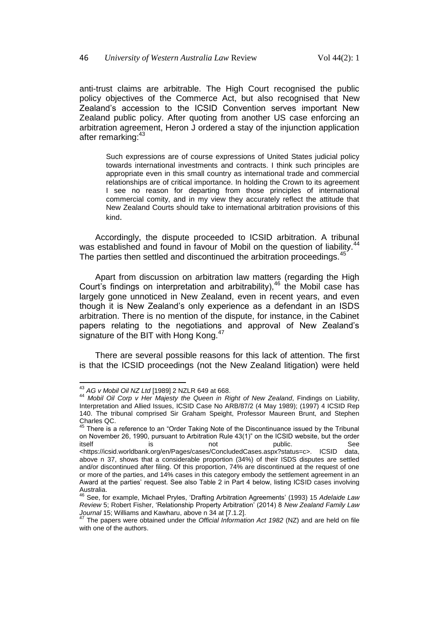anti-trust claims are arbitrable. The High Court recognised the public policy objectives of the Commerce Act, but also recognised that New Zealand's accession to the ICSID Convention serves important New Zealand public policy. After quoting from another US case enforcing an arbitration agreement, Heron J ordered a stay of the injunction application after remarking: 43

Such expressions are of course expressions of United States judicial policy towards international investments and contracts. I think such principles are appropriate even in this small country as international trade and commercial relationships are of critical importance. In holding the Crown to its agreement I see no reason for departing from those principles of international commercial comity, and in my view they accurately reflect the attitude that New Zealand Courts should take to international arbitration provisions of this kind.

Accordingly, the dispute proceeded to ICSID arbitration. A tribunal was established and found in favour of Mobil on the question of liability.<sup>44</sup> The parties then settled and discontinued the arbitration proceedings.<sup>45</sup>

Apart from discussion on arbitration law matters (regarding the High Court's findings on interpretation and arbitrability),<sup>46</sup> the Mobil case has largely gone unnoticed in New Zealand, even in recent years, and even though it is New Zealand's only experience as a defendant in an ISDS arbitration. There is no mention of the dispute, for instance, in the Cabinet papers relating to the negotiations and approval of New Zealand's signature of the BIT with Hong Kong.<sup>47</sup>

There are several possible reasons for this lack of attention. The first is that the ICSID proceedings (not the New Zealand litigation) were held

 $\overline{a}$ 

<sup>43</sup> *AG v Mobil Oil NZ Ltd* [1989] 2 NZLR 649 at 668.

<sup>44</sup> *Mobil Oil Corp v Her Majesty the Queen in Right of New Zealand*, Findings on Liability, Interpretation and Allied Issues, ICSID Case No ARB/87/2 (4 May 1989); (1997) 4 ICSID Rep 140. The tribunal comprised Sir Graham Speight, Professor Maureen Brunt, and Stephen Charles QC.

 $45$  There is a reference to an "Order Taking Note of the Discontinuance issued by the Tribunal on November 26, 1990, pursuant to Arbitration Rule 43(1)" on the ICSID website, but the order itself is is not public. See <https://icsid.worldbank.org/en/Pages/cases/ConcludedCases.aspx?status=c>. ICSID data, above n [37,](#page-11-0) shows that a considerable proportion (34%) of their ISDS disputes are settled and/or discontinued after filing. Of this proportion, 74% are discontinued at the request of one or more of the parties, and 14% cases in this category embody the settlement agreement in an Award at the parties' request. See also Table 2 in Part 4 below, listing ICSID cases involving Australia.

<sup>46</sup> See, for example, Michael Pryles, 'Drafting Arbitration Agreements' (1993) 15 *Adelaide Law Review* 5; Robert Fisher, 'Relationship Property Arbitration' (2014) 8 *New Zealand Family Law Journal* 15; Williams and Kawharu, above n [34](#page-11-1) at [7.1.2].

<sup>47</sup> The papers were obtained under the *Official Information Act 1982* (NZ) and are held on file with one of the authors.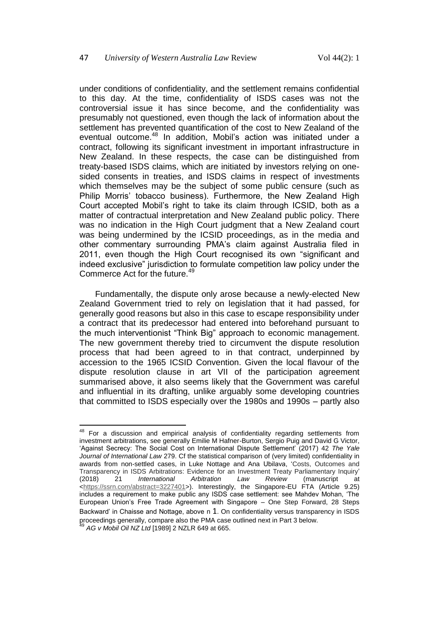under conditions of confidentiality, and the settlement remains confidential to this day. At the time, confidentiality of ISDS cases was not the controversial issue it has since become, and the confidentiality was presumably not questioned, even though the lack of information about the settlement has prevented quantification of the cost to New Zealand of the eventual outcome.<sup>48</sup> In addition, Mobil's action was initiated under a contract, following its significant investment in important infrastructure in New Zealand. In these respects, the case can be distinguished from treaty-based ISDS claims, which are initiated by investors relying on onesided consents in treaties, and ISDS claims in respect of investments which themselves may be the subject of some public censure (such as Philip Morris' tobacco business). Furthermore, the New Zealand High Court accepted Mobil's right to take its claim through ICSID, both as a matter of contractual interpretation and New Zealand public policy. There was no indication in the High Court judgment that a New Zealand court was being undermined by the ICSID proceedings, as in the media and other commentary surrounding PMA's claim against Australia filed in 2011, even though the High Court recognised its own "significant and indeed exclusive" jurisdiction to formulate competition law policy under the Commerce Act for the future.<sup>49</sup>

Fundamentally, the dispute only arose because a newly-elected New Zealand Government tried to rely on legislation that it had passed, for generally good reasons but also in this case to escape responsibility under a contract that its predecessor had entered into beforehand pursuant to the much interventionist "Think Big" approach to economic management. The new government thereby tried to circumvent the dispute resolution process that had been agreed to in that contract, underpinned by accession to the 1965 ICSID Convention. Given the local flavour of the dispute resolution clause in art VII of the participation agreement summarised above, it also seems likely that the Government was careful and influential in its drafting, unlike arguably some developing countries that committed to ISDS especially over the 1980s and 1990s – partly also

 $\overline{a}$  $48$  For a discussion and empirical analysis of confidentiality regarding settlements from investment arbitrations, see generally Emilie M Hafner-Burton, Sergio Puig and David G Victor, 'Against Secrecy: The Social Cost on International Dispute Settlement' (2017) 42 *The Yale Journal of International Law* 279. Cf the statistical comparison of (very limited) confidentiality in awards from non-settled cases, in Luke Nottage and Ana Ubilava, 'Costs, Outcomes and Transparency in ISDS Arbitrations: Evidence for an Investment Treaty Parliamentary Inquiry'<br>(2018) 21 *International Arbitration Law Review* (manuscript at (2018) 21 *International Arbitration Law Review* (manuscript at [<https://ssrn.com/abstract=3227401>](https://ssrn.com/abstract=3227401)). Interestingly, the Singapore-EU FTA (Article 9.25) includes a requirement to make public any ISDS case settlement: see Mahdev Mohan, 'The European Union's Free Trade Agreement with Singapore – One Step Forward, 28 Steps Backward' in Chaisse and Nottage, above n [1](#page-1-0). On confidentiality versus transparency in ISDS proceedings generally, compare also the PMA case outlined next in Part 3 below.

<sup>49</sup> *AG v Mobil Oil NZ Ltd* [1989] 2 NZLR 649 at 665.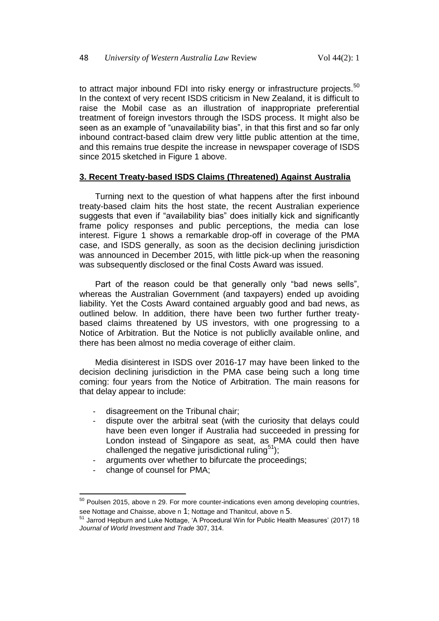to attract major inbound FDI into risky energy or infrastructure projects.<sup>50</sup> In the context of very recent ISDS criticism in New Zealand, it is difficult to raise the Mobil case as an illustration of inappropriate preferential treatment of foreign investors through the ISDS process. It might also be seen as an example of "unavailability bias", in that this first and so far only inbound contract-based claim drew very little public attention at the time, and this remains true despite the increase in newspaper coverage of ISDS since 2015 sketched in Figure 1 above.

#### **3. Recent Treaty-based ISDS Claims (Threatened) Against Australia**

Turning next to the question of what happens after the first inbound treaty-based claim hits the host state, the recent Australian experience suggests that even if "availability bias" does initially kick and significantly frame policy responses and public perceptions, the media can lose interest. Figure 1 shows a remarkable drop-off in coverage of the PMA case, and ISDS generally, as soon as the decision declining jurisdiction was announced in December 2015, with little pick-up when the reasoning was subsequently disclosed or the final Costs Award was issued.

Part of the reason could be that generally only "bad news sells", whereas the Australian Government (and taxpayers) ended up avoiding liability. Yet the Costs Award contained arguably good and bad news, as outlined below. In addition, there have been two further further treatybased claims threatened by US investors, with one progressing to a Notice of Arbitration. But the Notice is not publiclly available online, and there has been almost no media coverage of either claim.

Media disinterest in ISDS over 2016-17 may have been linked to the decision declining jurisdiction in the PMA case being such a long time coming: four years from the Notice of Arbitration. The main reasons for that delay appear to include:

- disagreement on the Tribunal chair;
- dispute over the arbitral seat (with the curiosity that delays could have been even longer if Australia had succeeded in pressing for London instead of Singapore as seat, as PMA could then have challenged the negative jurisdictional ruling<sup>51</sup>);
- <span id="page-16-0"></span>arguments over whether to bifurcate the proceedings;
- change of counsel for PMA;

 $\overline{a}$ 

 $50$  Poulsen 2015, above n [29.](#page-8-0) For more counter-indications even among developing countries, see Nottage and Chaisse, above n  $1$ ; Nottage and Thanitcul, above n  $5$ .

<sup>&</sup>lt;sup>51</sup> Jarrod Hepburn and Luke Nottage, 'A Procedural Win for Public Health Measures' (2017) 18 *Journal of World Investment and Trade* 307, 314.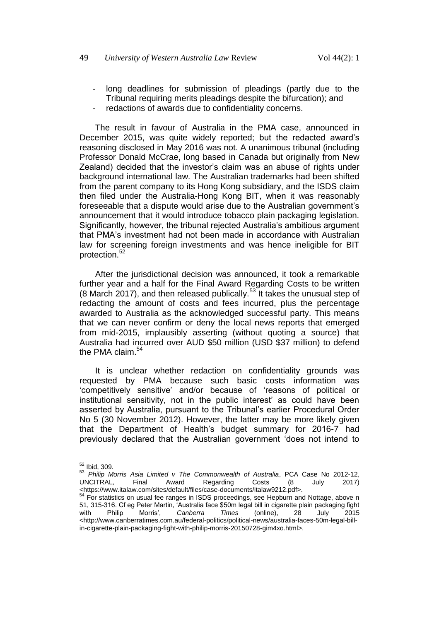- long deadlines for submission of pleadings (partly due to the Tribunal requiring merits pleadings despite the bifurcation); and
- redactions of awards due to confidentiality concerns.

The result in favour of Australia in the PMA case, announced in December 2015, was quite widely reported; but the redacted award's reasoning disclosed in May 2016 was not. A unanimous tribunal (including Professor Donald McCrae, long based in Canada but originally from New Zealand) decided that the investor's claim was an abuse of rights under background international law. The Australian trademarks had been shifted from the parent company to its Hong Kong subsidiary, and the ISDS claim then filed under the Australia-Hong Kong BIT, when it was reasonably foreseeable that a dispute would arise due to the Australian government's announcement that it would introduce tobacco plain packaging legislation. Significantly, however, the tribunal rejected Australia's ambitious argument that PMA's investment had not been made in accordance with Australian law for screening foreign investments and was hence ineligible for BIT protection.<sup>52</sup>

<span id="page-17-0"></span>After the jurisdictional decision was announced, it took a remarkable further year and a half for the Final Award Regarding Costs to be written (8 March 2017), and then released publically.<sup>53</sup> It takes the unusual step of redacting the amount of costs and fees incurred, plus the percentage awarded to Australia as the acknowledged successful party. This means that we can never confirm or deny the local news reports that emerged from mid-2015, implausibly asserting (without quoting a source) that Australia had incurred over AUD \$50 million (USD \$37 million) to defend the PMA claim. $54$ 

It is unclear whether redaction on confidentiality grounds was requested by PMA because such basic costs information was 'competitively sensitive' and/or because of 'reasons of political or institutional sensitivity, not in the public interest' as could have been asserted by Australia, pursuant to the Tribunal's earlier Procedural Order No 5 (30 November 2012). However, the latter may be more likely given that the Department of Health's budget summary for 2016-7 had previously declared that the Australian government 'does not intend to

į  $52$  Ibid, 309.

<sup>53</sup> *Philip Morris Asia Limited v The Commonwealth of Australia*, PCA Case No 2012-12, UNCITRAL, Final Award Regarding Costs (8 July 2017) <https://www.italaw.com/sites/default/files/case-documents/italaw9212.pdf>.

 $^{4}$  For statistics on usual fee ranges in ISDS proceedings, see Hepburn and Nottage, above n [51,](#page-16-0) 315-316. Cf eg Peter Martin, 'Australia face \$50m legal bill in cigarette plain packaging fight with Philip Morris', *Canberra Times* (online), 28 July 2015 <http://www.canberratimes.com.au/federal-politics/political-news/australia-faces-50m-legal-billin-cigarette-plain-packaging-fight-with-philip-morris-20150728-gim4xo.html>.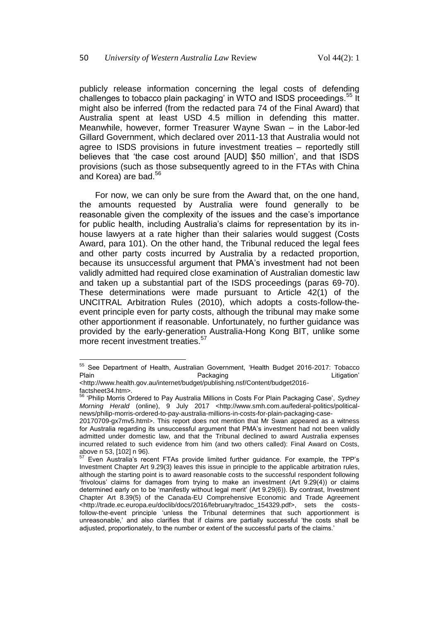publicly release information concerning the legal costs of defending challenges to tobacco plain packaging' in WTO and ISDS proceedings.<sup>55</sup> It might also be inferred (from the redacted para 74 of the Final Award) that Australia spent at least USD 4.5 million in defending this matter. Meanwhile, however, former Treasurer Wayne Swan – in the Labor-led Gillard Government, which declared over 2011-13 that Australia would not agree to ISDS provisions in future investment treaties – reportedly still believes that 'the case cost around [AUD] \$50 million', and that ISDS provisions (such as those subsequently agreed to in the FTAs with China and Korea) are bad.<sup>56</sup>

For now, we can only be sure from the Award that, on the one hand, the amounts requested by Australia were found generally to be reasonable given the complexity of the issues and the case's importance for public health, including Australia's claims for representation by its inhouse lawyers at a rate higher than their salaries would suggest (Costs Award, para 101). On the other hand, the Tribunal reduced the legal fees and other party costs incurred by Australia by a redacted proportion, because its unsuccessful argument that PMA's investment had not been validly admitted had required close examination of Australian domestic law and taken up a substantial part of the ISDS proceedings (paras 69-70). These determinations were made pursuant to Article 42(1) of the UNCITRAL Arbitration Rules (2010), which adopts a costs-follow-theevent principle even for party costs, although the tribunal may make some other apportionment if reasonable. Unfortunately, no further guidance was provided by the early-generation Australia-Hong Kong BIT, unlike some more recent investment treaties.<sup>57</sup>

į

<sup>&</sup>lt;sup>55</sup> See Department of Health, Australian Government, 'Health Budget 2016-2017: Tobacco Plain **Packaging** Packaging **Litigation'** 

<sup>&</sup>lt;http://www.health.gov.au/internet/budget/publishing.nsf/Content/budget2016 factsheet34.htm>.

<sup>56</sup> 'Philip Morris Ordered to Pay Australia Millions in Costs For Plain Packaging Case', *Sydney Morning Herald* (online), 9 July 2017 <http://www.smh.com.au/federal-politics/politicalnews/philip-morris-ordered-to-pay-australia-millions-in-costs-for-plain-packaging-case-

<sup>20170709-</sup>gx7mv5.html>. This report does not mention that Mr Swan appeared as a witness for Australia regarding its unsuccessful argument that PMA's investment had not been validly admitted under domestic law, and that the Tribunal declined to award Australia expenses incurred related to such evidence from him (and two others called): Final Award on Costs, above n [53,](#page-17-0) [102] n 96).<br>
<sup>57</sup> F

<sup>57</sup> Even Australia's recent FTAs provide limited further guidance. For example, the TPP's Investment Chapter Art 9.29(3) leaves this issue in principle to the applicable arbitration rules, although the starting point is to award reasonable costs to the successful respondent following 'frivolous' claims for damages from trying to make an investment (Art 9.29(4)) or claims determined early on to be 'manifestly without legal merit' (Art 9.29(6)). By contrast, Investment Chapter Art 8.39(5) of the Canada-EU Comprehensive Economic and Trade Agreement <http://trade.ec.europa.eu/doclib/docs/2016/february/tradoc\_154329.pdf>, sets the costsfollow-the-event principle 'unless the Tribunal determines that such apportionment is unreasonable,' and also clarifies that if claims are partially successful 'the costs shall be adjusted, proportionately, to the number or extent of the successful parts of the claims.'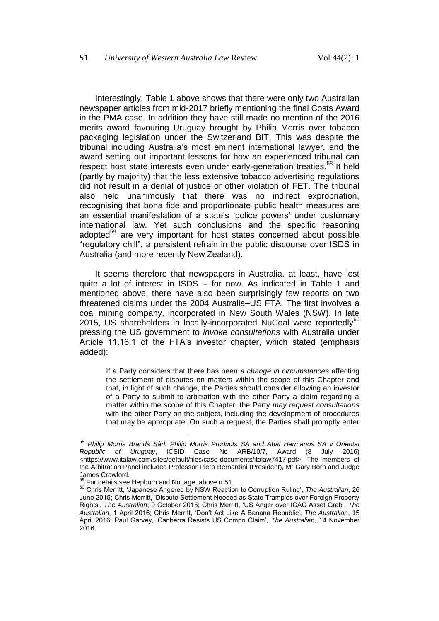Interestingly, Table 1 above shows that there were only two Australian newspaper articles from mid-2017 briefly mentioning the final Costs Award in the PMA case. In addition they have still made no mention of the 2016 merits award favouring Uruguay brought by Philip Morris over tobacco packaging legislation under the Switzerland BIT. This was despite the tribunal including Australia's most eminent international lawyer, and the award setting out important lessons for how an experienced tribunal can respect host state interests even under early-generation treaties.<sup>58</sup> It held (partly by majority) that the less extensive tobacco advertising regulations did not result in a denial of justice or other violation of FET. The tribunal also held unanimously that there was no indirect expropriation, recognising that bona fide and proportionate public health measures are an essential manifestation of a state's 'police powers' under customary international law. Yet such conclusions and the specific reasoning adopted<sup>59</sup> are very important for host states concerned about possible "regulatory chill", a persistent refrain in the public discourse over ISDS in Australia (and more recently New Zealand).

It seems therefore that newspapers in Australia, at least, have lost quite a lot of interest in ISDS – for now. As indicated in Table 1 and mentioned above, there have also been surprisingly few reports on two threatened claims under the 2004 Australia–US FTA. The first involves a coal mining company, incorporated in New South Wales (NSW). In late 2015, US shareholders in locally-incorporated NuCoal were reportedly<sup>60</sup> pressing the US government to *invoke consultations* with Australia under Article 11.16.1 of the FTA's investor chapter, which stated (emphasis added):

If a Party considers that there has been *a change in circumstances* affecting the settlement of disputes on matters within the scope of this Chapter and that, in light of such change, the Parties should consider allowing an investor of a Party to submit to arbitration with the other Party a claim regarding a matter within the scope of this Chapter, the Party *may request consultations* with the other Party on the subject, including the development of procedures that may be appropriate. On such a request, the Parties shall promptly enter

į

<sup>58</sup> *Philip Morris Brands Sàrl, Philip Morris Products SA and Abal Hermanos SA v Oriental Republic of Uruguay*, ICSID Case No ARB/10/7, Award (8 July 2016) <https://www.italaw.com/sites/default/files/case-documents/italaw7417.pdf>. The members of the Arbitration Panel included Professor Piero Bernardini (President), Mr Gary Born and Judge James Crawford.

For details see Hepburn and Nottage, above n [51.](#page-16-0)

<sup>60</sup> Chris Merritt, 'Japanese Angered by NSW Reaction to Corruption Ruling', *The Australian*, 26 June 2015; Chris Merritt, 'Dispute Settlement Needed as State Tramples over Foreign Property Rights', *The Australian*, 9 October 2015; Chris Merritt, 'US Anger over ICAC Asset Grab', *The Australian*, 1 April 2016; Chris Merritt, 'Don't Act Like A Banana Republic', *The Australian*, 15 April 2016; Paul Garvey, 'Canberra Resists US Compo Claim', *The Australian*, 14 November 2016.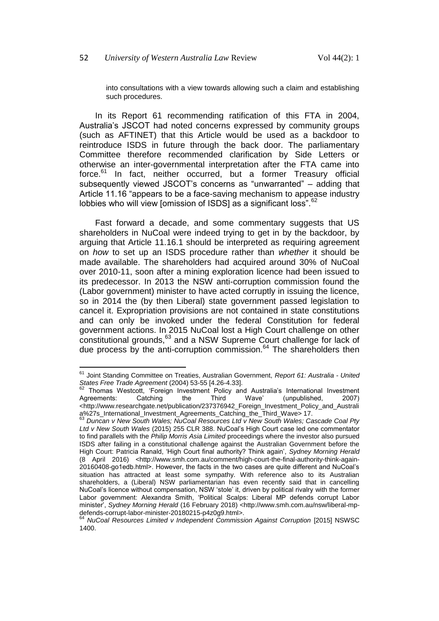into consultations with a view towards allowing such a claim and establishing such procedures.

In its Report 61 recommending ratification of this FTA in 2004, Australia's JSCOT had noted concerns expressed by community groups (such as AFTINET) that this Article would be used as a backdoor to reintroduce ISDS in future through the back door. The parliamentary Committee therefore recommended clarification by Side Letters or otherwise an inter-governmental interpretation after the FTA came into force.<sup>61</sup> In fact, neither occurred, but a former Treasury official subsequently viewed JSCOT's concerns as "unwarranted" – adding that Article 11.16 "appears to be a face-saving mechanism to appease industry lobbies who will view [omission of ISDS] as a significant loss".<sup>62</sup>

Fast forward a decade, and some commentary suggests that US shareholders in NuCoal were indeed trying to get in by the backdoor, by arguing that Article 11.16.1 should be interpreted as requiring agreement on *how* to set up an ISDS procedure rather than *whether* it should be made available. The shareholders had acquired around 30% of NuCoal over 2010-11, soon after a mining exploration licence had been issued to its predecessor. In 2013 the NSW anti-corruption commission found the (Labor government) minister to have acted corruptly in issuing the licence, so in 2014 the (by then Liberal) state government passed legislation to cancel it. Expropriation provisions are not contained in state constitutions and can only be invoked under the federal Constitution for federal government actions. In 2015 NuCoal lost a High Court challenge on other constitutional grounds,<sup>63</sup> and a NSW Supreme Court challenge for lack of due process by the anti-corruption commission. $64$  The shareholders then

<sup>61</sup> Joint Standing Committee on Treaties, Australian Government, *Report 61: Australia - United States Free Trade Agreement* (2004) 53-55 [4.26-4.33].

 $62$  Thomas Westcott, 'Foreign Investment Policy and Australia's International Investment<br>Agreements: Catching the Third Wave' (unpublished, 2007) (unpublished, <http://www.researchgate.net/publication/237376942\_Foreign\_Investment\_Policy\_and\_Australi a%27s\_International\_Investment\_Agreements\_Catching\_the\_Third\_Wave> 17.

<sup>63</sup> *Duncan v New South Wales; NuCoal Resources Ltd v New South Wales; Cascade Coal Pty Ltd v New South Wales* (2015) 255 CLR 388. NuCoal's High Court case led one commentator to find parallels with the *Philip Morris Asia Limited* proceedings where the investor also pursued ISDS after failing in a constitutional challenge against the Australian Government before the High Court: Patricia Ranald, 'High Court final authority? Think again', *Sydney Morning Herald* (8 April 2016) <http://www.smh.com.au/comment/high-court-the-final-authority-think-again-20160408-go1edb.html>. However, the facts in the two cases are quite different and NuCoal's situation has attracted at least some sympathy. With reference also to its Australian shareholders, a (Liberal) NSW parliamentarian has even recently said that in cancelling NuCoal's licence without compensation, NSW 'stole' it, driven by political rivalry with the former Labor government: Alexandra Smith, 'Political Scalps: Liberal MP defends corrupt Labor minister', *Sydney Morning Herald* (16 February 2018) <http://www.smh.com.au/nsw/liberal-mpdefends-corrupt-labor-minister-20180215-p4z0g9.html>.

<sup>64</sup> *NuCoal Resources Limited v Independent Commission Against Corruption* [2015] NSWSC 1400.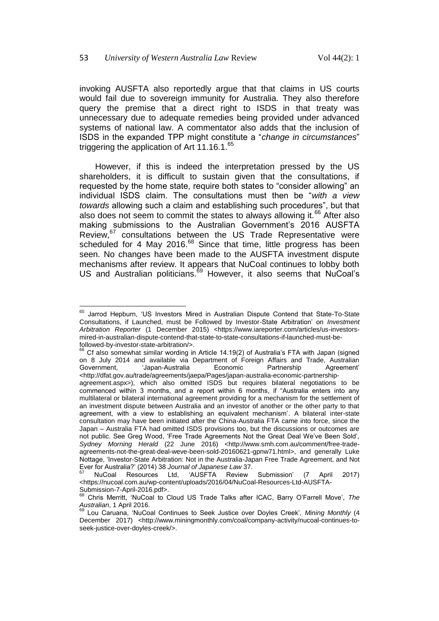invoking AUSFTA also reportedly argue that that claims in US courts would fail due to sovereign immunity for Australia. They also therefore query the premise that a direct right to ISDS in that treaty was unnecessary due to adequate remedies being provided under advanced systems of national law. A commentator also adds that the inclusion of ISDS in the expanded TPP might constitute a "*change in circumstances*" triggering the application of Art  $11.16.1$ .<sup>65</sup>

However, if this is indeed the interpretation pressed by the US shareholders, it is difficult to sustain given that the consultations, if requested by the home state, require both states to "consider allowing" an individual ISDS claim. The consultations must then be "*with a view towards* allowing such a claim and establishing such procedures", but that also does not seem to commit the states to always allowing it.<sup>66</sup> After also making submissions to the Australian Government's 2016 AUSFTA Review,<sup>67</sup> consultations between the US Trade Representative were scheduled for 4 May 2016.<sup>68</sup> Since that time, little progress has been seen. No changes have been made to the AUSFTA investment dispute mechanisms after review. It appears that NuCoal continues to lobby both US and Australian politicians.<sup>69</sup> However, it also seems that NuCoal's

 $\overline{\phantom{a}}$ <sup>65</sup> Jarrod Hepburn, 'US Investors Mired in Australian Dispute Contend that State-To-State Consultations, if Launched, must be Followed by Investor-State Arbitration' on *Investment*  Arbitration Reporter (1 December 2015) <https://www.iareporter.com/articles/us-investorsmired-in-australian-dispute-contend-that-state-to-state-consultations-if-launched-must-befollowed-by-investor-state-arbitration/>.

<sup>&</sup>lt;sup>66</sup> Cf also somewhat similar wording in Article 14.19(2) of Australia's FTA with Japan (signed on 8 July 2014 and available via Department of Foreign Affairs and Trade, Australian Government, via band-Australian Economic Partnership Agreement Government, 'Japan-Australia Economic Partnership Agreement' <http://dfat.gov.au/trade/agreements/jaepa/Pages/japan-australia-economic-partnershipagreement.aspx>), which also omitted ISDS but requires bilateral negotiations to be commenced within 3 months, and a report within 6 months, if "Australia enters into any multilateral or bilateral international agreement providing for a mechanism for the settlement of an investment dispute between Australia and an investor of another or the other party to that agreement, with a view to establishing an equivalent mechanism'. A bilateral inter-state consultation may have been initiated after the China-Australia FTA came into force, since the Japan – Australia FTA had omitted ISDS provisions too, but the discussions or outcomes are not public. See Greg Wood, 'Free Trade Agreements Not the Great Deal We've Been Sold', Sydney Morning Herald (22 June 2016) <http://www.smh.com.au/comment/free-tradeagreements-not-the-great-deal-weve-been-sold-20160621-gpnw71.html>, and generally Luke Nottage, 'Investor-State Arbitration: Not in the Australia-Japan Free Trade Agreement, and Not Ever for Australia?' (2014) 38 *Journal of Japanese Law* 37.

<sup>67</sup> NuCoal Resources Ltd, 'AUSFTA Review Submission' (7 April 2017) <https://nucoal.com.au/wp-content/uploads/2016/04/NuCoal-Resources-Ltd-AUSFTA-Submission-7-April-2016.pdf>.

<sup>68</sup> Chris Merritt, 'NuCoal to Cloud US Trade Talks after ICAC, Barry O'Farrell Move', *The Australian*, 1 April 2016.

<sup>69</sup> Lou Caruana, 'NuCoal Continues to Seek Justice over Doyles Creek', *Mining Monthly* (4 December 2017) <http://www.miningmonthly.com/coal/company-activity/nucoal-continues-toseek-justice-over-doyles-creek/>.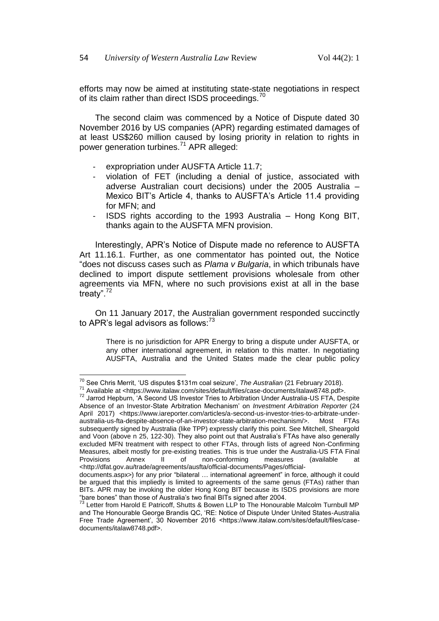efforts may now be aimed at instituting state-state negotiations in respect of its claim rather than direct ISDS proceedings.<sup>70</sup>

The second claim was commenced by a Notice of Dispute dated 30 November 2016 by US companies (APR) regarding estimated damages of at least US\$260 million caused by losing priority in relation to rights in power generation turbines.<sup>71</sup> APR alleged:

- expropriation under AUSFTA Article 11.7;
- violation of FET (including a denial of justice, associated with adverse Australian court decisions) under the 2005 Australia – Mexico BIT's Article 4, thanks to AUSFTA's Article 11.4 providing for MFN; and
- ISDS rights according to the 1993 Australia Hong Kong BIT, thanks again to the AUSFTA MFN provision.

Interestingly, APR's Notice of Dispute made no reference to AUSFTA Art 11.16.1. Further, as one commentator has pointed out, the Notice "does not discuss cases such as *Plama v Bulgaria*, in which tribunals have declined to import dispute settlement provisions wholesale from other agreements via MFN, where no such provisions exist at all in the base treaty". $^{72}$ 

On 11 January 2017, the Australian government responded succinctly to APR's legal advisors as follows: $73$ 

There is no jurisdiction for APR Energy to bring a dispute under AUSFTA, or any other international agreement, in relation to this matter. In negotiating AUSFTA, Australia and the United States made the clear public policy

į

<sup>70</sup> See Chris Merrit, 'US disputes \$131m coal seizure', *The Australian* (21 February 2018).

<sup>71</sup> Available at <https://www.italaw.com/sites/default/files/case-documents/italaw8748.pdf>.

<sup>72</sup> Jarrod Hepburn, 'A Second US Investor Tries to Arbitration Under Australia-US FTA, Despite Absence of an Investor-State Arbitration Mechanism' on *Investment Arbitration Reporter* (24 April 2017) <https://www.iareporter.com/articles/a-second-us-investor-tries-to-arbitrate-underaustralia-us-fta-despite-absence-of-an-investor-state-arbitration-mechanism/>. Most FTAs subsequently signed by Australia (like TPP) expressly clarify this point. See Mitchell, Sheargold and Voon (above n [25,](#page-6-1) 122-30). They also point out that Australia's FTAs have also generally excluded MFN treatment with respect to other FTAs, through lists of agreed Non-Confirming Measures, albeit mostly for pre-existing treaties. This is true under the Australia-US FTA Final<br>Provisions Annex II of non-conforming measures (available at Provisions Annex II of non-conforming measures (available at <http://dfat.gov.au/trade/agreements/ausfta/official-documents/Pages/official-

documents.aspx>) for any prior "bilateral … international agreement" in force, although it could be argued that this impliedly is limited to agreements of the same genus (FTAs) rather than BITs. APR may be invoking the older Hong Kong BIT because its ISDS provisions are more "bare bones" than those of Australia's two final BITs signed after 2004.

<sup>&</sup>lt;sup>73</sup> Letter from Harold E Patricoff, Shutts & Bowen LLP to The Honourable Malcolm Turnbull MP and The Honourable George Brandis QC, 'RE: Notice of Dispute Under United States-Australia Free Trade Agreement', 30 November 2016 <https://www.italaw.com/sites/default/files/casedocuments/italaw8748.pdf>.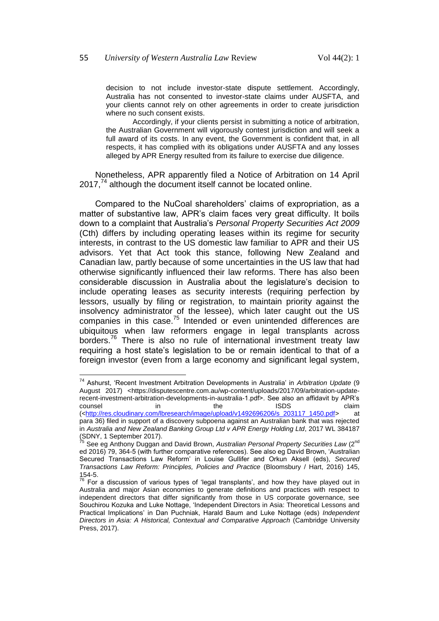decision to not include investor-state dispute settlement. Accordingly, Australia has not consented to investor-state claims under AUSFTA, and your clients cannot rely on other agreements in order to create jurisdiction where no such consent exists.

Accordingly, if your clients persist in submitting a notice of arbitration, the Australian Government will vigorously contest jurisdiction and will seek a full award of its costs. In any event, the Government is confident that, in all respects, it has complied with its obligations under AUSFTA and any losses alleged by APR Energy resulted from its failure to exercise due diligence.

Nonetheless, APR apparently filed a Notice of Arbitration on 14 April  $2017<sup>74</sup>$  although the document itself cannot be located online.

Compared to the NuCoal shareholders' claims of expropriation, as a matter of substantive law, APR's claim faces very great difficulty. It boils down to a complaint that Australia's *Personal Property Securities Act 2009*  (Cth) differs by including operating leases within its regime for security interests, in contrast to the US domestic law familiar to APR and their US advisors. Yet that Act took this stance, following New Zealand and Canadian law, partly because of some uncertainties in the US law that had otherwise significantly influenced their law reforms. There has also been considerable discussion in Australia about the legislature's decision to include operating leases as security interests (requiring perfection by lessors, usually by filing or registration, to maintain priority against the insolvency administrator of the lessee), which later caught out the US companies in this case.<sup>75</sup> Intended or even unintended differences are ubiquitous when law reformers engage in legal transplants across borders.<sup>76</sup> There is also no rule of international investment treaty law requiring a host state's legislation to be or remain identical to that of a foreign investor (even from a large economy and significant legal system,

į

<sup>74</sup> Ashurst, 'Recent Investment Arbitration Developments in Australia' in *Arbitration Update* (9 August 2017) <https://disputescentre.com.au/wp-content/uploads/2017/09/arbitration-updaterecent-investment-arbitration-developments-in-australia-1.pdf>. See also an affidavit by APR's counsel in the ISDS claim ([<http://res.cloudinary.com/lbresearch/image/upload/v1492696206/s\\_203117\\_1450.pdf>](http://res.cloudinary.com/lbresearch/image/upload/v1492696206/s_203117_1450.pdf) at para 36) filed in support of a discovery subpoena against an Australian bank that was rejected in *Australia and New Zealand Banking Group Ltd v APR Energy Holding Ltd*, 2017 WL 384187

<sup>(</sup>SDNY, 1 September 2017). <sup>75</sup> See eg Anthony Duggan and David Brown, *Australian Personal Property Securities Law* (2nd ed 2016) 79, 364-5 (with further comparative references). See also eg David Brown, 'Australian

Secured Transactions Law Reform' in Louise Gullifer and Orkun Aksell (eds), *Secured Transactions Law Reform: Principles, Policies and Practice* (Bloomsbury / Hart, 2016) 145, 154-5.

 $76$  For a discussion of various types of 'legal transplants', and how they have played out in Australia and major Asian economies to generate definitions and practices with respect to independent directors that differ significantly from those in US corporate governance, see Souchirou Kozuka and Luke Nottage, 'Independent Directors in Asia: Theoretical Lessons and Practical Implications' in Dan Puchniak, Harald Baum and Luke Nottage (eds) *Independent Directors in Asia: A Historical, Contextual and Comparative Approach* (Cambridge University Press, 2017).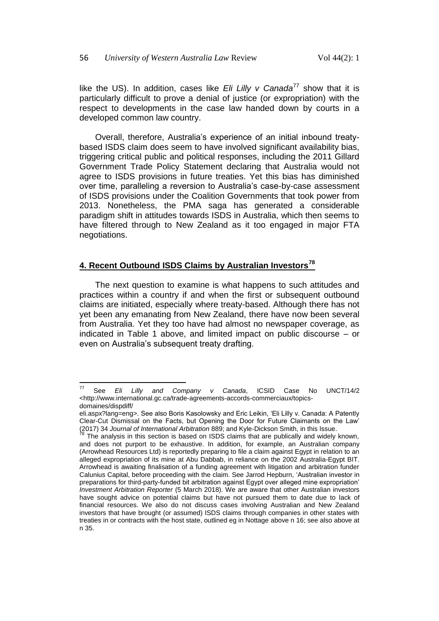like the US). In addition, cases like *Eli Lilly v Canada<sup>77</sup>* show that it is particularly difficult to prove a denial of justice (or expropriation) with the respect to developments in the case law handed down by courts in a developed common law country.

Overall, therefore, Australia's experience of an initial inbound treatybased ISDS claim does seem to have involved significant availability bias, triggering critical public and political responses, including the 2011 Gillard Government Trade Policy Statement declaring that Australia would not agree to ISDS provisions in future treaties. Yet this bias has diminished over time, paralleling a reversion to Australia's case-by-case assessment of ISDS provisions under the Coalition Governments that took power from 2013. Nonetheless, the PMA saga has generated a considerable paradigm shift in attitudes towards ISDS in Australia, which then seems to have filtered through to New Zealand as it too engaged in major FTA negotiations.

#### **4. Recent Outbound ISDS Claims by Australian Investors<sup>78</sup>**

The next question to examine is what happens to such attitudes and practices within a country if and when the first or subsequent outbound claims are initiated, especially where treaty-based. Although there has not yet been any emanating from New Zealand, there have now been several from Australia. Yet they too have had almost no newspaper coverage, as indicated in Table 1 above, and limited impact on public discourse – or even on Australia's subsequent treaty drafting.

 $77$ <sup>77</sup> See *Eli Lilly and Company v Canada*, ICSID Case No UNCT/14/2 <http://www.international.gc.ca/trade-agreements-accords-commerciaux/topicsdomaines/dispdiff/

eli.aspx?lang=eng>. See also Boris Kasolowsky and Eric Leikin, 'Eli Lilly v. Canada: A Patently Clear-Cut Dismissal on the Facts, but Opening the Door for Future Claimants on the Law' (2017) 34 *Journal of International Arbitration* 889; and Kyle-Dickson Smith, in this Issue.

The analysis in this section is based on ISDS claims that are publically and widely known, and does not purport to be exhaustive. In addition, for example, an Australian company (Arrowhead Resources Ltd) is reportedly preparing to file a claim against Egypt in relation to an alleged expropriation of its mine at Abu Dabbab, in reliance on the 2002 Australia-Egypt BIT. Arrowhead is awaiting finalisation of a funding agreement with litigation and arbitration funder Calunius Capital, before proceeding with the claim. See Jarrod Hepburn, 'Australian investor in preparations for third-party-funded bit arbitration against Egypt over alleged mine expropriation' *Investment Arbitration Reporter* (5 March 2018). We are aware that other Australian investors have sought advice on potential claims but have not pursued them to date due to lack of financial resources. We also do not discuss cases involving Australian and New Zealand investors that have brought (or assumed) ISDS claims through companies in other states with treaties in or contracts with the host state, outlined eg in Nottage above n [16;](#page-4-0) see also above at n [35.](#page-11-2)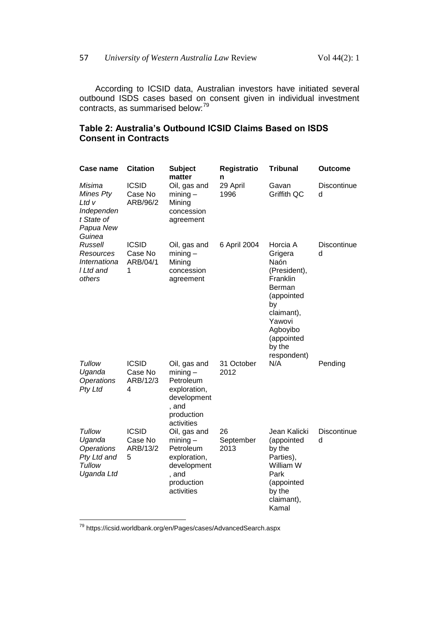According to ICSID data, Australian investors have initiated several outbound ISDS cases based on consent given in individual investment contracts, as summarised below:<sup>79</sup>

## **Table 2: Australia's Outbound ICSID Claims Based on ISDS Consent in Contracts**

| <b>Case name</b>                                                                | <b>Citation</b>                          | Subject<br>matter                                                                                           | Registratio<br>n        | <b>Tribunal</b>                                                                                                                                                  | Outcome                 |
|---------------------------------------------------------------------------------|------------------------------------------|-------------------------------------------------------------------------------------------------------------|-------------------------|------------------------------------------------------------------------------------------------------------------------------------------------------------------|-------------------------|
| Misima<br>Mines Pty<br>Ltd v<br>Independen<br>t State of<br>Papua New<br>Guinea | <b>ICSID</b><br>Case No<br>ARB/96/2      | Oil, gas and<br>$mining -$<br>Mining<br>concession<br>agreement                                             | 29 April<br>1996        | Gavan<br>Griffith QC                                                                                                                                             | Discontinue<br>d        |
| Russell<br>Resources<br>Internationa<br>I Ltd and<br>others                     | <b>ICSID</b><br>Case No<br>ARB/04/1<br>1 | Oil, gas and<br>$mining -$<br>Mining<br>concession<br>agreement                                             | 6 April 2004            | Horcia A<br>Grigera<br>Naón<br>(President),<br>Franklin<br>Berman<br>(appointed<br>by<br>claimant),<br>Yawovi<br>Agboyibo<br>(appointed<br>by the<br>respondent) | Discontinue<br>d        |
| Tullow<br>Uganda<br><b>Operations</b><br>Pty Ltd                                | <b>ICSID</b><br>Case No<br>ARB/12/3<br>4 | Oil, gas and<br>$mining -$<br>Petroleum<br>exploration,<br>development<br>, and<br>production<br>activities | 31 October<br>2012      | N/A                                                                                                                                                              | Pending                 |
| Tullow<br>Uganda<br><b>Operations</b><br>Pty Ltd and<br>Tullow<br>Uganda Ltd    | <b>ICSID</b><br>Case No<br>ARB/13/2<br>5 | Oil, gas and<br>$mining -$<br>Petroleum<br>exploration,<br>development<br>, and<br>production<br>activities | 26<br>September<br>2013 | Jean Kalicki<br>(appointed<br>by the<br>Parties),<br>William W<br>Park<br>(appointed<br>by the<br>claimant),<br>Kamal                                            | <b>Discontinue</b><br>d |

<sup>79</sup> https://icsid.worldbank.org/en/Pages/cases/AdvancedSearch.aspx

 $\overline{a}$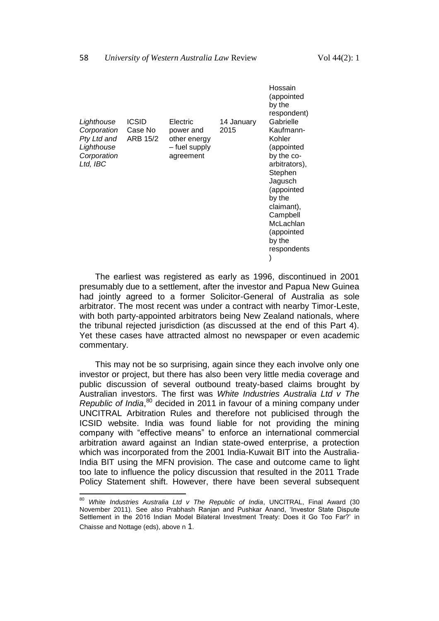|                                                                                   |                              |                                                                     |                    | Hossain<br>(appointed<br>by the<br>respondent)                                                                                                                                                            |
|-----------------------------------------------------------------------------------|------------------------------|---------------------------------------------------------------------|--------------------|-----------------------------------------------------------------------------------------------------------------------------------------------------------------------------------------------------------|
| Lighthouse<br>Corporation<br>Pty Ltd and<br>Lighthouse<br>Corporation<br>Ltd, IBC | ICSID<br>Case No<br>ARB 15/2 | Electric<br>power and<br>other energy<br>- fuel supply<br>agreement | 14 January<br>2015 | Gabrielle<br>Kaufmann-<br>Kohler<br>(appointed<br>by the co-<br>arbitrators),<br>Stephen<br>Jagusch<br>(appointed<br>by the<br>claimant),<br>Campbell<br>McLachlan<br>(appointed<br>by the<br>respondents |

The earliest was registered as early as 1996, discontinued in 2001 presumably due to a settlement, after the investor and Papua New Guinea had jointly agreed to a former Solicitor-General of Australia as sole arbitrator. The most recent was under a contract with nearby Timor-Leste, with both party-appointed arbitrators being New Zealand nationals, where the tribunal rejected jurisdiction (as discussed at the end of this Part 4). Yet these cases have attracted almost no newspaper or even academic commentary.

This may not be so surprising, again since they each involve only one investor or project, but there has also been very little media coverage and public discussion of several outbound treaty-based claims brought by Australian investors. The first was *White Industries Australia Ltd v The Republic of India*, <sup>80</sup> decided in 2011 in favour of a mining company under UNCITRAL Arbitration Rules and therefore not publicised through the ICSID website. India was found liable for not providing the mining company with "effective means" to enforce an international commercial arbitration award against an Indian state-owed enterprise, a protection which was incorporated from the 2001 India-Kuwait BIT into the Australia-India BIT using the MFN provision. The case and outcome came to light too late to influence the policy discussion that resulted in the 2011 Trade Policy Statement shift. However, there have been several subsequent

<sup>80</sup> *White Industries Australia Ltd v The Republic of India*, UNCITRAL, Final Award (30 November 2011). See also Prabhash Ranjan and Pushkar Anand, 'Investor State Dispute Settlement in the 2016 Indian Model Bilateral Investment Treaty: Does it Go Too Far?' in Chaisse and Nottage (eds), above n [1](#page-1-0).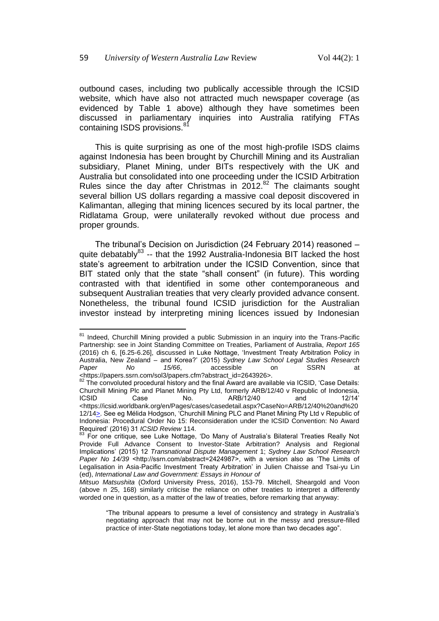$\overline{\phantom{a}}$ 

outbound cases, including two publically accessible through the ICSID website, which have also not attracted much newspaper coverage (as evidenced by Table 1 above) although they have sometimes been discussed in parliamentary inquiries into Australia ratifying FTAs containing ISDS provisions.<sup>81</sup>

This is quite surprising as one of the most high-profile ISDS claims against Indonesia has been brought by Churchill Mining and its Australian subsidiary, Planet Mining, under BITs respectively with the UK and Australia but consolidated into one proceeding under the ICSID Arbitration Rules since the day after Christmas in  $2012$ .<sup>82</sup> The claimants sought several billion US dollars regarding a massive coal deposit discovered in Kalimantan, alleging that mining licences secured by its local partner, the Ridlatama Group, were unilaterally revoked without due process and proper grounds.

The tribunal's Decision on Jurisdiction (24 February 2014) reasoned – quite debatably<sup>83</sup> -- that the 1992 Australia-Indonesia BIT lacked the host state's agreement to arbitration under the ICSID Convention, since that BIT stated only that the state "shall consent" (in future). This wording contrasted with that identified in some other contemporaneous and subsequent Australian treaties that very clearly provided advance consent. Nonetheless, the tribunal found ICSID jurisdiction for the Australian investor instead by interpreting mining licences issued by Indonesian

<sup>&</sup>lt;sup>81</sup> Indeed, Churchill Mining provided a public Submission in an inquiry into the Trans-Pacific Partnership: see in Joint Standing Committee on Treaties, Parliament of Australia, *Report 165* (2016) ch 6, [6.25-6.26], discussed in Luke Nottage, 'Investment Treaty Arbitration Policy in Australia, New Zealand – and Korea?' (2015) *Sydney Law School Legal Studies Research Paper No 15/66*, accessible on SSRN at <https://papers.ssrn.com/sol3/papers.cfm?abstract\_id=2643926>.

<sup>82</sup> The convoluted procedural history and the final Award are available via ICSID, 'Case Details: Churchill Mining Plc and Planet Mining Pty Ltd, formerly ARB/12/40 v Republic of Indonesia,<br>Case Mo ARB/12/40 and 12/14' Case No. ARB/12/40 <https://icsid.worldbank.org/en/Pages/cases/casedetail.aspx?CaseNo=ARB/12/40%20and%20 12/14 
charace Bee eg Mélida Hodgson, 'Churchill Mining PLC and Planet Mining Pty Ltd v Republic of Indonesia: Procedural Order No 15: Reconsideration under the ICSID Convention: No Award Required' (2016) 31 *ICSID Review* 114.

<sup>83</sup> For one critique, see Luke Nottage, 'Do Many of Australia's Bilateral Treaties Really Not Provide Full Advance Consent to Investor-State Arbitration? Analysis and Regional Implications' (2015) 12 *Transnational Dispute Management* 1; *Sydney Law School Research Paper No 14/39* <http://ssrn.com/abstract=2424987>, with a version also as 'The Limits of Legalisation in Asia-Pacific Investment Treaty Arbitration' in Julien Chaisse and Tsai-yu Lin (ed), *International Law and Government: Essays in Honour of*

*Mitsuo Matsushita* (Oxford University Press, 2016), 153-79. Mitchell, Sheargold and Voon (above n [25,](#page-6-1) 168) similarly criticise the reliance on other treaties to interpret a differently worded one in question, as a matter of the law of treaties, before remarking that anyway:

<sup>&</sup>quot;The tribunal appears to presume a level of consistency and strategy in Australia's negotiating approach that may not be borne out in the messy and pressure-filled practice of inter-State negotiations today, let alone more than two decades ago".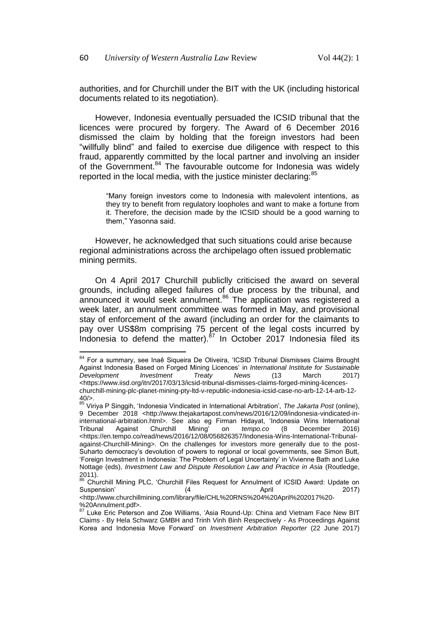authorities, and for Churchill under the BIT with the UK (including historical documents related to its negotiation).

However, Indonesia eventually persuaded the ICSID tribunal that the licences were procured by forgery. The Award of 6 December 2016 dismissed the claim by holding that the foreign investors had been "willfully blind" and failed to exercise due diligence with respect to this fraud, apparently committed by the local partner and involving an insider of the Government.<sup>84</sup> The favourable outcome for Indonesia was widely reported in the local media, with the justice minister declaring:<sup>85</sup>

"Many foreign investors come to Indonesia with malevolent intentions, as they try to benefit from regulatory loopholes and want to make a fortune from it. Therefore, the decision made by the ICSID should be a good warning to them," Yasonna said.

However, he acknowledged that such situations could arise because regional administrations across the archipelago often issued problematic mining permits.

On 4 April 2017 Churchill publiclly criticised the award on several grounds, including alleged failures of due process by the tribunal, and announced it would seek annulment.<sup>86</sup> The application was registered a week later, an annulment committee was formed in May, and provisional stay of enforcement of the award (including an order for the claimants to pay over US\$8m comprising 75 percent of the legal costs incurred by Indonesia to defend the matter). $87$  In October 2017 Indonesia filed its

<sup>&</sup>lt;sup>84</sup> For a summary, see Inaê Siqueira De Oliveira, 'ICSID Tribunal Dismisses Claims Brought Against Indonesia Based on Forged Mining Licences' in *International Institute for Sustainable Development Investment Treaty News* (13 March 2017) <https://www.iisd.org/itn/2017/03/13/icsid-tribunal-dismisses-claims-forged-mining-licenceschurchill-mining-plc-planet-mining-pty-ltd-v-republic-indonesia-icsid-case-no-arb-12-14-arb-12-  $40/5$ 

<sup>85</sup> Viriya P Singgih, 'Indonesia Vindicated in International Arbitration', *The Jakarta Post* (online), 9 December 2018 <http://www.thejakartapost.com/news/2016/12/09/indonesia-vindicated-ininternational-arbitration.html>. See also eg Firman Hidayat, 'Indonesia Wins International<br>Tribunal Against Churchill Mining' on *tempo.co* (8 December 2016) Tribunal Against Churchill Mining' on *tempo.co* (8 December 2016) <https://en.tempo.co/read/news/2016/12/08/056826357/Indonesia-Wins-International-Tribunalagainst-Churchill-Mining>. On the challenges for investors more generally due to the post-Suharto democracy's devolution of powers to regional or local governments, see Simon Butt, 'Foreign Investment in Indonesia: The Problem of Legal Uncertainty' in Vivienne Bath and Luke Nottage (eds), *Investment Law and Dispute Resolution Law and Practice in Asia* (Routledge, 2011).

<sup>86</sup> Churchill Mining PLC, 'Churchill Files Request for Annulment of ICSID Award: Update on Suspension' (4 April 2017)

<sup>&</sup>lt;http://www.churchillmining.com/library/file/CHL%20RNS%204%20April%202017%20- %20Annulment.pdf>.

Luke Eric Peterson and Zoe Williams, 'Asia Round-Up: China and Vietnam Face New BIT Claims - By Hela Schwarz GMBH and Trinh Vinh Binh Respectively - As Proceedings Against Korea and Indonesia Move Forward' on *Investment Arbitration Reporter* (22 June 2017)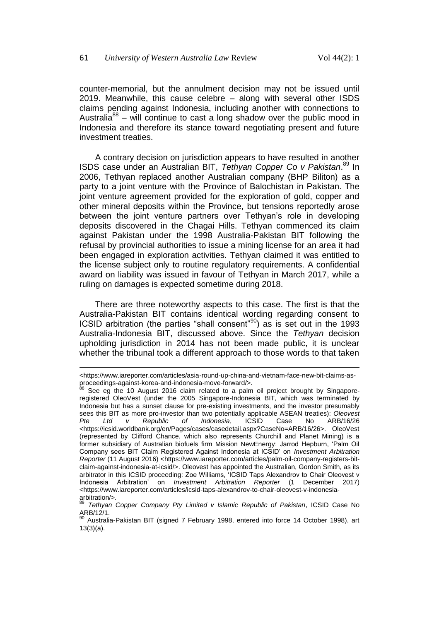counter-memorial, but the annulment decision may not be issued until 2019. Meanwhile, this cause celebre – along with several other ISDS claims pending against Indonesia, including another with connections to Australia<sup>88</sup> – will continue to cast a long shadow over the public mood in Indonesia and therefore its stance toward negotiating present and future investment treaties.

A contrary decision on jurisdiction appears to have resulted in another ISDS case under an Australian BIT, *Tethyan Copper Co v Pakistan*. <sup>89</sup> In 2006, Tethyan replaced another Australian company (BHP Biliton) as a party to a joint venture with the Province of Balochistan in Pakistan. The joint venture agreement provided for the exploration of gold, copper and other mineral deposits within the Province, but tensions reportedly arose between the joint venture partners over Tethyan's role in developing deposits discovered in the Chagai Hills. Tethyan commenced its claim against Pakistan under the 1998 Australia-Pakistan BIT following the refusal by provincial authorities to issue a mining license for an area it had been engaged in exploration activities. Tethyan claimed it was entitled to the license subject only to routine regulatory requirements. A confidential award on liability was issued in favour of Tethyan in March 2017, while a ruling on damages is expected sometime during 2018.

There are three noteworthy aspects to this case. The first is that the Australia-Pakistan BIT contains identical wording regarding consent to ICSID arbitration (the parties "shall consent"<sup>90</sup>) as is set out in the 1993 Australia-Indonesia BIT, discussed above. Since the *Tethyan* decision upholding jurisdiction in 2014 has not been made public, it is unclear whether the tribunal took a different approach to those words to that taken

l

<sup>&</sup>lt;https://www.iareporter.com/articles/asia-round-up-china-and-vietnam-face-new-bit-claims-asproceedings-against-korea-and-indonesia-move-forward/>.

See eg the 10 August 2016 claim related to a palm oil project brought by Singaporeregistered OleoVest (under the 2005 Singapore-Indonesia BIT, which was terminated by Indonesia but has a sunset clause for pre-existing investments, and the investor presumably sees this BIT as more pro-investor than two potentially applicable ASEAN treaties): *Oleovest Pte Ltd v Republic of Indonesia*, ICSID Case No ARB/16/26 <https://icsid.worldbank.org/en/Pages/cases/casedetail.aspx?CaseNo=ARB/16/26>. OleoVest (represented by Clifford Chance, which also represents Churchill and Planet Mining) is a former subsidiary of Australian biofuels firm Mission NewEnergy: Jarrod Hepburn, 'Palm Oil Company sees BIT Claim Registered Against Indonesia at ICSID' on *Investment Arbitration Reporter* (11 August 2016) <https://www.iareporter.com/articles/palm-oil-company-registers-bitclaim-against-indonesia-at-icsid/>. Oleovest has appointed the Australian, Gordon Smith, as its arbitrator in this ICSID proceeding: Zoe Williams, 'ICSID Taps Alexandrov to Chair Oleovest v Indonesia Arbitration' on *Investment Arbitration Reporter* (1 December 2017) <https://www.iareporter.com/articles/icsid-taps-alexandrov-to-chair-oleovest-v-indonesia $arbitration/>$ .

<sup>89</sup> *Tethyan Copper Company Pty Limited v Islamic Republic of Pakistan*, ICSID Case No ARB/12/1.

 $90$  Australia-Pakistan BIT (signed 7 February 1998, entered into force 14 October 1998), art 13(3)(a).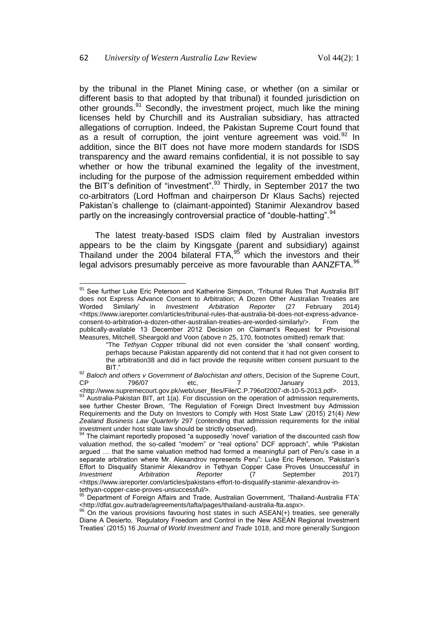by the tribunal in the Planet Mining case, or whether (on a similar or different basis to that adopted by that tribunal) it founded jurisdiction on other grounds.<sup>91</sup> Secondly, the investment project, much like the mining licenses held by Churchill and its Australian subsidiary, has attracted allegations of corruption. Indeed, the Pakistan Supreme Court found that as a result of corruption, the joint venture agreement was void. $92$  In addition, since the BIT does not have more modern standards for ISDS transparency and the award remains confidential, it is not possible to say whether or how the tribunal examined the legality of the investment, including for the purpose of the admission requirement embedded within the BIT's definition of "investment".<sup>93</sup> Thirdly, in September 2017 the two co-arbitrators (Lord Hoffman and chairperson Dr Klaus Sachs) rejected Pakistan's challenge to (claimant-appointed) Stanimir Alexandrov based partly on the increasingly controversial practice of "double-hatting". <sup>94</sup>

The latest treaty-based ISDS claim filed by Australian investors appears to be the claim by Kingsgate (parent and subsidiary) against Thailand under the 2004 bilateral  $FTA$ ,  $^{95}$  which the investors and their legal advisors presumably perceive as more favourable than AANZFTA.<sup>96</sup>

 $\overline{\phantom{a}}$ <sup>91</sup> See further Luke Eric Peterson and Katherine Simpson, 'Tribunal Rules That Australia BIT does not Express Advance Consent to Arbitration; A Dozen Other Australian Treaties are Worded Similarly' in *Investment Arbitration Reporter* (27 February 2014) Worded Similarly' in *Investment Arbitration Reporter* (27 February 2014) <https://www.iareporter.com/articles/tribunal-rules-that-australia-bit-does-not-express-advanceconsent-to-arbitration-a-dozen-other-australian-treaties-are-worded-similarly/>. From the publically-available 13 December 2012 Decision on Claimant's Request for Provisional Measures, Mitchell, Sheargold and Voon (above n [25,](#page-6-1) 170, footnotes omitted) remark that:

<sup>&</sup>quot;The *Tethyan Copper* tribunal did not even consider the 'shall consent' wording, perhaps because Pakistan apparently did not contend that it had not given consent to the arbitration38 and did in fact provide the requisite written consent pursuant to the BIT."

<sup>&</sup>lt;sup>92</sup> Baloch and others v Government of Balochistan and others, Decision of the Supreme Court, CP 796/07 etc, 7 January 2013,

[<sup>&</sup>lt;http://www.supremecourt.gov.pk/web/user\\_files/File/C.P.796of2007-dt-10-5-2013.pdf>](http://www.supremecourt.gov.pk/web/user_files/File/C.P.796of2007-dt-10-5-2013.pdf).

Australia-Pakistan BIT, art 1(a). For discussion on the operation of admission requirements, see further Chester Brown, 'The Regulation of Foreign Direct Investment buy Admission Requirements and the Duty on Investors to Comply with Host State Law' (2015) 21(4) *New Zealand Business Law Quarterly* 297 (contending that admission requirements for the initial investment under host state law should be strictly observed).

The claimant reportedly proposed "a supposedly 'novel' variation of the discounted cash flow valuation method, the so-called "modern" or "real options" DCF approach", while "Pakistan argued … that the same valuation method had formed a meaningful part of Peru's case in a separate arbitration where Mr. Alexandrov represents Peru": Luke Eric Peterson, 'Pakistan's Effort to Disqualify Stanimir Alexandrov in Tethyan Copper Case Proves Unsuccessful' in<br> *Investment* Arbitration Reporter (7 September 2017) *Investment Arbitration Reporter* (7 September 2017) <https://www.iareporter.com/articles/pakistans-effort-to-disqualify-stanimir-alexandrov-intethyan-copper-case-proves-unsuccessful/>.

<sup>&</sup>lt;sup>5</sup> Department of Foreign Affairs and Trade, Australian Government, 'Thailand-Australia FTA' <http://dfat.gov.au/trade/agreements/tafta/pages/thailand-australia-fta.aspx>.

<sup>96</sup> On the various provisions favouring host states in such ASEAN(+) treaties, see generally Diane A Desierto, 'Regulatory Freedom and Control in the New ASEAN Regional Investment Treaties' (2015) 16 *Journal of World Investment and Trade* 1018, and more generally Sungjoon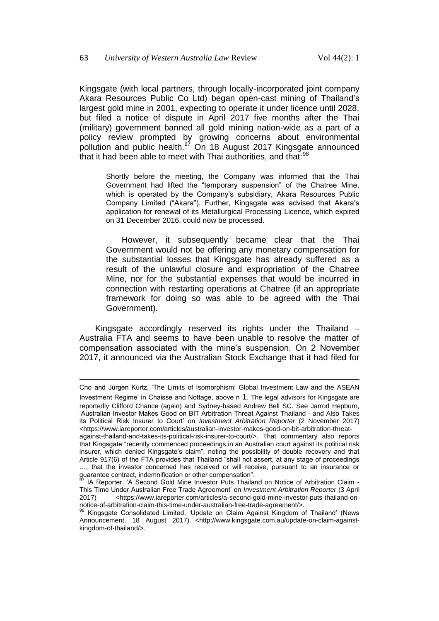Kingsgate (with local partners, through locally-incorporated joint company Akara Resources Public Co Ltd) began open-cast mining of Thailand's largest gold mine in 2001, expecting to operate it under licence until 2028, but filed a notice of dispute in April 2017 five months after the Thai (military) government banned all gold mining nation-wide as a part of a policy review prompted by growing concerns about environmental pollution and public health.<sup>97</sup> On 18 August 2017 Kingsgate announced that it had been able to meet with Thai authorities, and that: $98$ 

Shortly before the meeting, the Company was informed that the Thai Government had lifted the "temporary suspension" of the Chatree Mine, which is operated by the Company's subsidiary, Akara Resources Public Company Limited ("Akara"). Further, Kingsgate was advised that Akara's application for renewal of its Metallurgical Processing Licence, which expired on 31 December 2016, could now be processed.

However, it subsequently became clear that the Thai Government would not be offering any monetary compensation for the substantial losses that Kingsgate has already suffered as a result of the unlawful closure and expropriation of the Chatree Mine, nor for the substantial expenses that would be incurred in connection with restarting operations at Chatree (if an appropriate framework for doing so was able to be agreed with the Thai Government).

Kingsgate accordingly reserved its rights under the Thailand – Australia FTA and seems to have been unable to resolve the matter of compensation associated with the mine's suspension. On 2 November 2017, it announced via the Australian Stock Exchange that it had filed for

l

Cho and Jürgen Kurtz, 'The Limits of Isomorphism: Global Investment Law and the ASEAN Investment Regime' in Chaisse and Nottage, above n [1](#page-1-0). The legal advisors for Kingsgate are reportedly Clifford Chance (again) and Sydney-based Andrew Bell SC. See Jarrod Hepburn, 'Australian Investor Makes Good on BIT Arbitration Threat Against Thailand - and Also Takes its Political Risk Insurer to Court' on *Investment Arbitration Reporter* (2 November 2017) <https://www.iareporter.com/articles/australian-investor-makes-good-on-bit-arbitration-threat-

against-thailand-and-takes-its-political-risk-insurer-to-court/>. That commentary also reports that Kingsgate "recently commenced proceedings in an Australian court against its political risk insurer, which denied Kingsgate's claim", noting the possibility of double recovery and that Article 917(6) of the FTA provides that Thailand "shall not assert, at any stage of proceedings …, that the investor concerned has received or will receive, pursuant to an insurance or guarantee contract, indemnification or other compensation".

<sup>1</sup>A Reporter, 'A Second Gold Mine Investor Puts Thailand on Notice of Arbitration Claim -This Time Under Australian Free Trade Agreement' on *Investment Arbitration Reporter* (3 April 2017) <https://www.iareporter.com/articles/a-second-gold-mine-investor-puts-thailand-onnotice-of-arbitration-claim-this-time-under-australian-free-trade-agreement/>.

Kingsgate Consolidated Limited, 'Update on Claim Against Kingdom of Thailand' (News Announcement, 18 August 2017) <http://www.kingsgate.com.au/update-on-claim-againstkingdom-of-thailand/>.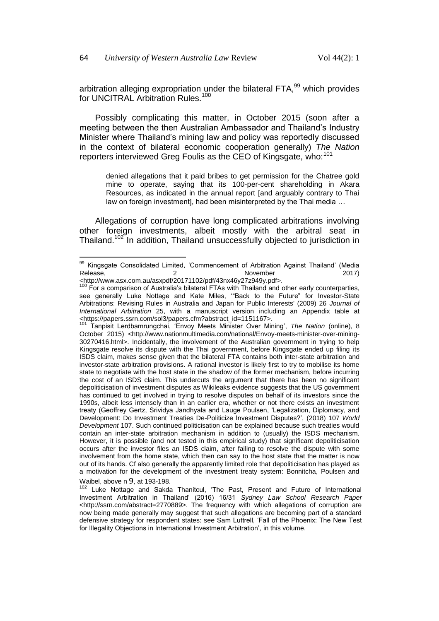arbitration alleging expropriation under the bilateral FTA,<sup>99</sup> which provides for UNCITRAL Arbitration Rules.<sup>100</sup>

Possibly complicating this matter, in October 2015 (soon after a meeting between the then Australian Ambassador and Thailand's Industry Minister where Thailand's mining law and policy was reportedly discussed in the context of bilateral economic cooperation generally) *The Nation*  reporters interviewed Greg Foulis as the CEO of Kingsgate, who:<sup>101</sup>

denied allegations that it paid bribes to get permission for the Chatree gold mine to operate, saying that its 100-per-cent shareholding in Akara Resources, as indicated in the annual report [and arguably contrary to Thai law on foreign investment], had been misinterpreted by the Thai media …

Allegations of corruption have long complicated arbitrations involving other foreign investments, albeit mostly with the arbitral seat in Thailand.<sup>102</sup> In addition, Thailand unsuccessfully objected to jurisdiction in

<sup>&</sup>lt;sup>99</sup> Kingsgate Consolidated Limited, 'Commencement of Arbitration Against Thailand' (Media Release, 2 November 2017)

<sup>&</sup>lt;http://www.asx.com.au/asxpdf/20171102/pdf/43nx46y27z949y.pdf>.

 $100$  For a comparison of Australia's bilateral FTAs with Thailand and other early counterparties, see generally Luke Nottage and Kate Miles, '"Back to the Future" for Investor-State Arbitrations: Revising Rules in Australia and Japan for Public Interests' (2009) 26 *Journal of International Arbitration* 25, with a manuscript version including an Appendix table at <https://papers.ssrn.com/sol3/papers.cfm?abstract\_id=1151167>.

<sup>101</sup> Tanpisit Lerdbamrungchai, 'Envoy Meets Minister Over Mining', *The Nation* (online), 8 October 2015) <http://www.nationmultimedia.com/national/Envoy-meets-minister-over-mining-30270416.html>. Incidentally, the involvement of the Australian government in trying to help Kingsgate resolve its dispute with the Thai government, before Kingsgate ended up filing its ISDS claim, makes sense given that the bilateral FTA contains both inter-state arbitration and investor-state arbitration provisions. A rational investor is likely first to try to mobilise its home state to negotiate with the host state in the shadow of the former mechanism, before incurring the cost of an ISDS claim. This undercuts the argument that there has been no significant depoliticisation of investment disputes as Wikileaks evidence suggests that the US government has continued to get involved in trying to resolve disputes on behalf of its investors since the 1990s, albeit less intensely than in an earlier era, whether or not there exists an investment treaty (Geoffrey Gertz, Srividya Jandhyala and Lauge Poulsen, 'Legalization, Diplomacy, and Development: Do Investment Treaties De-Politicize Investment Disputes?', (2018) 107 *World Development* 107. Such continued politicisation can be explained because such treaties would contain an inter-state arbitration mechanism in addition to (usually) the ISDS mechanism. However, it is possible (and not tested in this empirical study) that significant depoliticisation occurs after the investor files an ISDS claim, after failing to resolve the dispute with some involvement from the home state, which then can say to the host state that the matter is now out of its hands. Cf also generally the apparently limited role that depoliticisation has played as a motivation for the development of the investment treaty system: Bonnitcha, Poulsen and Waibel, above n [9](#page-2-0), at 193-198.

<sup>&</sup>lt;sup>102</sup> Luke Nottage and Sakda Thanitcul, 'The Past, Present and Future of International Investment Arbitration in Thailand' (2016) 16/31 *Sydney Law School Research Paper* <http://ssrn.com/abstract=2770889>. The frequency with which allegations of corruption are now being made generally may suggest that such allegations are becoming part of a standard defensive strategy for respondent states: see Sam Luttrell, 'Fall of the Phoenix: The New Test for Illegality Objections in International Investment Arbitration', in this volume.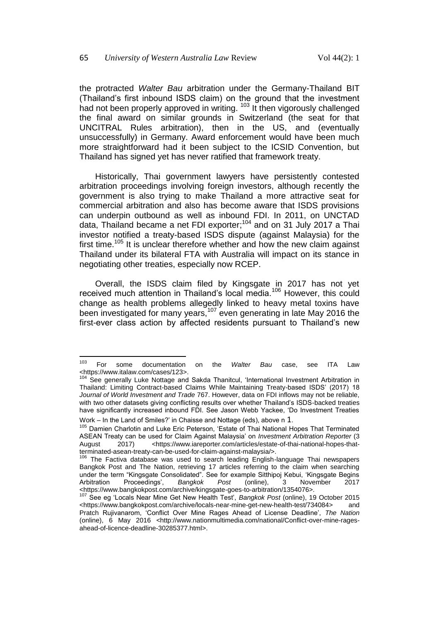the protracted *Walter Bau* arbitration under the Germany-Thailand BIT (Thailand's first inbound ISDS claim) on the ground that the investment had not been properly approved in writing. <sup>103</sup> It then vigorously challenged the final award on similar grounds in Switzerland (the seat for that UNCITRAL Rules arbitration), then in the US, and (eventually unsuccessfully) in Germany. Award enforcement would have been much more straightforward had it been subject to the ICSID Convention, but Thailand has signed yet has never ratified that framework treaty.

Historically, Thai government lawyers have persistently contested arbitration proceedings involving foreign investors, although recently the government is also trying to make Thailand a more attractive seat for commercial arbitration and also has become aware that ISDS provisions can underpin outbound as well as inbound FDI. In 2011, on UNCTAD data, Thailand became a net FDI exporter;<sup>104</sup> and on 31 July 2017 a Thai investor notified a treaty-based ISDS dispute (against Malaysia) for the first time.<sup>105</sup> It is unclear therefore whether and how the new claim against Thailand under its bilateral FTA with Australia will impact on its stance in negotiating other treaties, especially now RCEP.

Overall, the ISDS claim filed by Kingsgate in 2017 has not yet received much attention in Thailand's local media.<sup>106</sup> However, this could change as health problems allegedly linked to heavy metal toxins have been investigated for many years,<sup>107</sup> even generating in late May 2016 the first-ever class action by affected residents pursuant to Thailand's new

Work – In the Land of Smiles?' in Chaisse and Nottage (eds), above n [1](#page-1-0).

 $103$ <sup>103</sup> For some documentation on the *Walter Bau* case, see ITA Law <https://www.italaw.com/cases/123>.

<sup>&</sup>lt;sup>104</sup> See generally Luke Nottage and Sakda Thanitcul, 'International Investment Arbitration in Thailand: Limiting Contract-based Claims While Maintaining Treaty-based ISDS' (2017) 18 *Journal of World Investment and Trade* 767. However, data on FDI inflows may not be reliable, with two other datasets giving conflicting results over whether Thailand's ISDS-backed treaties have significantly increased inbound FDI. See Jason Webb Yackee, 'Do Investment Treaties

<sup>&</sup>lt;sup>105</sup> Damien Charlotin and Luke Eric Peterson, 'Estate of Thai National Hopes That Terminated ASEAN Treaty can be used for Claim Against Malaysia' on *Investment Arbitration Reporter* (3 August 2017) <https://www.iareporter.com/articles/estate-of-thai-national-hopes-thatterminated-asean-treaty-can-be-used-for-claim-against-malaysia/>.

<sup>106</sup> The Factiva database was used to search leading English-language Thai newspapers Bangkok Post and The Nation, retrieving 17 articles referring to the claim when searching under the term "Kingsgate Consolidated". See for example Sitthipoj Kebui, 'Kingsgate Begins<br>Arbitration Proceedings', Bangkok Post (online), 3 November 2017 Arbitration Proceedings', *Bangkok Post* (online), 3 November 2017 <https://www.bangkokpost.com/archive/kingsgate-goes-to-arbitration/1354076>.

<sup>107</sup> See eg 'Locals Near Mine Get New Health Test', *Bangkok Post* (online), 19 October 2015 <https://www.bangkokpost.com/archive/locals-near-mine-get-new-health-test/734084> and Pratch Rujivanarom, 'Conflict Over Mine Rages Ahead of License Deadline', *The Nation*  (online), 6 May 2016 <http://www.nationmultimedia.com/national/Conflict-over-mine-ragesahead-of-licence-deadline-30285377.html>.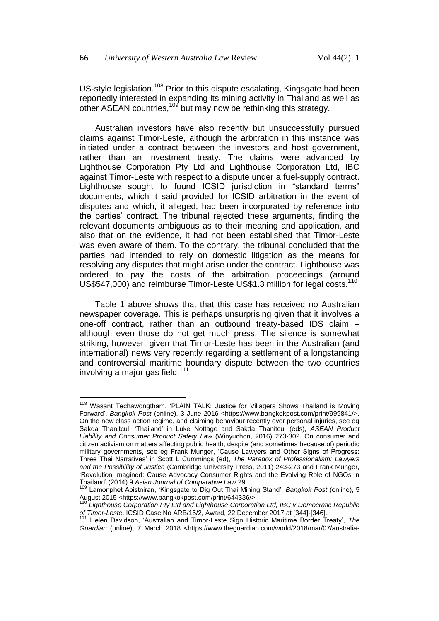US-style legislation.<sup>108</sup> Prior to this dispute escalating, Kingsgate had been reportedly interested in expanding its mining activity in Thailand as well as other ASEAN countries,<sup>109</sup> but may now be rethinking this strategy.

Australian investors have also recently but unsuccessfully pursued claims against Timor-Leste, although the arbitration in this instance was initiated under a contract between the investors and host government, rather than an investment treaty. The claims were advanced by Lighthouse Corporation Pty Ltd and Lighthouse Corporation Ltd, IBC against Timor-Leste with respect to a dispute under a fuel-supply contract. Lighthouse sought to found ICSID jurisdiction in "standard terms" documents, which it said provided for ICSID arbitration in the event of disputes and which, it alleged, had been incorporated by reference into the parties' contract. The tribunal rejected these arguments, finding the relevant documents ambiguous as to their meaning and application, and also that on the evidence, it had not been established that Timor-Leste was even aware of them. To the contrary, the tribunal concluded that the parties had intended to rely on domestic litigation as the means for resolving any disputes that might arise under the contract. Lighthouse was ordered to pay the costs of the arbitration proceedings (around US\$547,000) and reimburse Timor-Leste US\$1.3 million for legal costs.<sup>110</sup>

Table 1 above shows that that this case has received no Australian newspaper coverage. This is perhaps unsurprising given that it involves a one-off contract, rather than an outbound treaty-based IDS claim – although even those do not get much press. The silence is somewhat striking, however, given that Timor-Leste has been in the Australian (and international) news very recently regarding a settlement of a longstanding and controversial maritime boundary dispute between the two countries involving a major gas field.<sup>111</sup>

 $\overline{\phantom{a}}$ <sup>108</sup> Wasant Techawongtham, 'PLAIN TALK: Justice for Villagers Shows Thailand is Moving Forward', *Bangkok Post* (online), 3 June 2016 <https://www.bangkokpost.com/print/999841/>. On the new class action regime, and claiming behaviour recently over personal injuries, see eg Sakda Thanitcul, 'Thailand' in Luke Nottage and Sakda Thanitcul (eds), *ASEAN Product Liability and Consumer Product Safety Law* (Winyuchon, 2016) 273-302. On consumer and citizen activism on matters affecting public health, despite (and sometimes because of) periodic military governments, see eg Frank Munger, 'Cause Lawyers and Other Signs of Progress: Three Thai Narratives' in Scott L Cummings (ed), *The Paradox of Professionalism: Lawyers and the Possibility of Justice* (Cambridge University Press, 2011) 243-273 and Frank Munger, 'Revolution Imagined: Cause Advocacy Consumer Rights and the Evolving Role of NGOs in Thailand' (2014) 9 *Asian Journal of Comparative Law* 29.

<sup>109</sup> Lamonphet Apistniran, 'Kingsgate to Dig Out Thai Mining Stand', *Bangkok Post* (online), 5 August 2015 <https://www.bangkokpost.com/print/644336/>.

<sup>110</sup> *Lighthouse Corporation Pty Ltd and Lighthouse Corporation Ltd, IBC v Democratic Republic of Timor-Leste*, ICSID Case No ARB/15/2, Award, 22 December 2017 at [344]-[346].

<sup>111</sup> Helen Davidson, 'Australian and Timor-Leste Sign Historic Maritime Border Treaty', *The*  Guardian (online), 7 March 2018 <https://www.theguardian.com/world/2018/mar/07/australia-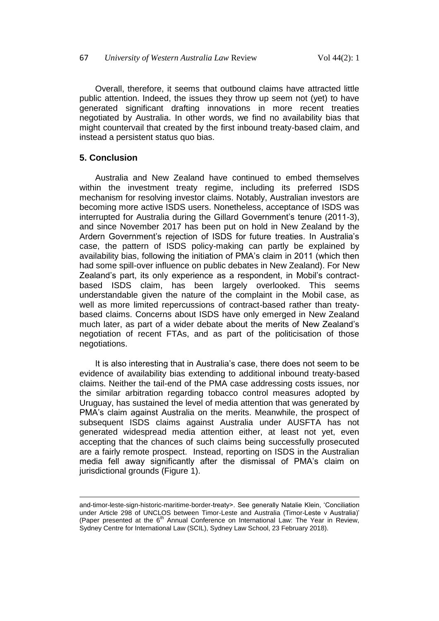Overall, therefore, it seems that outbound claims have attracted little public attention. Indeed, the issues they throw up seem not (yet) to have generated significant drafting innovations in more recent treaties negotiated by Australia. In other words, we find no availability bias that might countervail that created by the first inbound treaty-based claim, and instead a persistent status quo bias.

### **5. Conclusion**

l

Australia and New Zealand have continued to embed themselves within the investment treaty regime, including its preferred ISDS mechanism for resolving investor claims. Notably, Australian investors are becoming more active ISDS users. Nonetheless, acceptance of ISDS was interrupted for Australia during the Gillard Government's tenure (2011-3), and since November 2017 has been put on hold in New Zealand by the Ardern Government's rejection of ISDS for future treaties. In Australia's case, the pattern of ISDS policy-making can partly be explained by availability bias, following the initiation of PMA's claim in 2011 (which then had some spill-over influence on public debates in New Zealand). For New Zealand's part, its only experience as a respondent, in Mobil's contractbased ISDS claim, has been largely overlooked. This seems understandable given the nature of the complaint in the Mobil case, as well as more limited repercussions of contract-based rather than treatybased claims. Concerns about ISDS have only emerged in New Zealand much later, as part of a wider debate about the merits of New Zealand's negotiation of recent FTAs, and as part of the politicisation of those negotiations.

It is also interesting that in Australia's case, there does not seem to be evidence of availability bias extending to additional inbound treaty-based claims. Neither the tail-end of the PMA case addressing costs issues, nor the similar arbitration regarding tobacco control measures adopted by Uruguay, has sustained the level of media attention that was generated by PMA's claim against Australia on the merits. Meanwhile, the prospect of subsequent ISDS claims against Australia under AUSFTA has not generated widespread media attention either, at least not yet, even accepting that the chances of such claims being successfully prosecuted are a fairly remote prospect. Instead, reporting on ISDS in the Australian media fell away significantly after the dismissal of PMA's claim on jurisdictional grounds (Figure 1).

and-timor-leste-sign-historic-maritime-border-treaty>. See generally Natalie Klein, 'Conciliation under Article 298 of UNCLOS between Timor-Leste and Australia (Timor-Leste v Australia)' (Paper presented at the  $6<sup>th</sup>$  Annual Conference on International Law: The Year in Review, Sydney Centre for International Law (SCIL), Sydney Law School, 23 February 2018).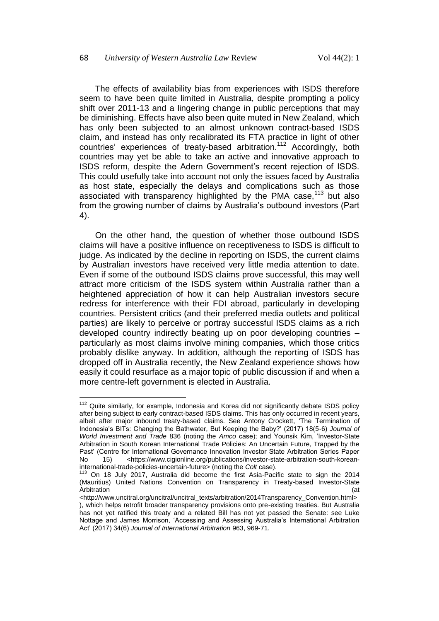The effects of availability bias from experiences with ISDS therefore seem to have been quite limited in Australia, despite prompting a policy shift over 2011-13 and a lingering change in public perceptions that may be diminishing. Effects have also been quite muted in New Zealand, which has only been subjected to an almost unknown contract-based ISDS claim, and instead has only recalibrated its FTA practice in light of other countries' experiences of treaty-based arbitration.<sup>112</sup> Accordingly, both countries may yet be able to take an active and innovative approach to ISDS reform, despite the Adern Government's recent rejection of ISDS. This could usefully take into account not only the issues faced by Australia as host state, especially the delays and complications such as those associated with transparency highlighted by the PMA case,<sup>113</sup> but also from the growing number of claims by Australia's outbound investors (Part 4).

On the other hand, the question of whether those outbound ISDS claims will have a positive influence on receptiveness to ISDS is difficult to judge. As indicated by the decline in reporting on ISDS, the current claims by Australian investors have received very little media attention to date. Even if some of the outbound ISDS claims prove successful, this may well attract more criticism of the ISDS system within Australia rather than a heightened appreciation of how it can help Australian investors secure redress for interference with their FDI abroad, particularly in developing countries. Persistent critics (and their preferred media outlets and political parties) are likely to perceive or portray successful ISDS claims as a rich developed country indirectly beating up on poor developing countries – particularly as most claims involve mining companies, which those critics probably dislike anyway. In addition, although the reporting of ISDS has dropped off in Australia recently, the New Zealand experience shows how easily it could resurface as a major topic of public discussion if and when a more centre-left government is elected in Australia.

 $\overline{\phantom{a}}$  $112$  Quite similarly, for example, Indonesia and Korea did not significantly debate ISDS policy after being subject to early contract-based ISDS claims. This has only occurred in recent years, albeit after major inbound treaty-based claims. See Antony Crockett, 'The Termination of Indonesia's BITs: Changing the Bathwater, But Keeping the Baby?' (2017) 18(5-6) *Journal of World Investment and Trade* 836 (noting the *Amco* case); and Younsik Kim, 'Investor-State Arbitration in South Korean International Trade Policies: An Uncertain Future, Trapped by the Past' (Centre for International Governance Innovation Investor State Arbitration Series Paper No 15) <https://www.cigionline.org/publications/investor-state-arbitration-south-koreaninternational-trade-policies-uncertain-future> (noting the *Colt* case).

<sup>&</sup>lt;sup>113</sup> On 18 July 2017, Australia did become the first Asia-Pacific state to sign the 2014 (Mauritius) United Nations Convention on Transparency in Treaty-based Investor-State Arbitration (at

<sup>&</sup>lt;http://www.uncitral.org/uncitral/uncitral\_texts/arbitration/2014Transparency\_Convention.html> ), which helps retrofit broader transparency provisions onto pre-existing treaties. But Australia has not yet ratified this treaty and a related Bill has not yet passed the Senate: see Luke Nottage and James Morrison, 'Accessing and Assessing Australia's International Arbitration Act' (2017) 34(6) *Journal of International Arbitration* 963, 969-71.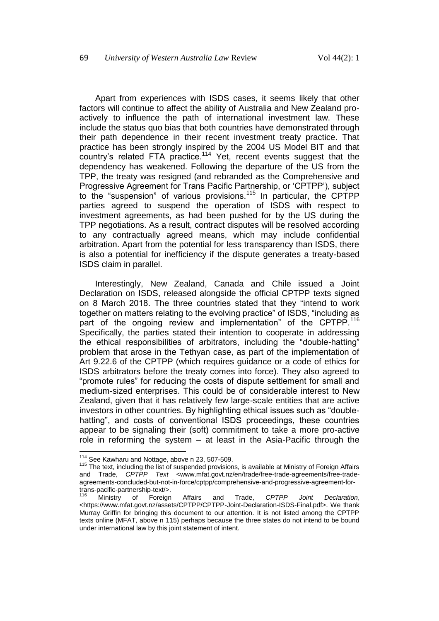Apart from experiences with ISDS cases, it seems likely that other factors will continue to affect the ability of Australia and New Zealand proactively to influence the path of international investment law. These include the status quo bias that both countries have demonstrated through their path dependence in their recent investment treaty practice. That practice has been strongly inspired by the 2004 US Model BIT and that country's related FTA practice.<sup>114</sup> Yet, recent events suggest that the dependency has weakened. Following the departure of the US from the TPP, the treaty was resigned (and rebranded as the Comprehensive and Progressive Agreement for Trans Pacific Partnership, or 'CPTPP'), subject to the "suspension" of various provisions.<sup>115</sup> In particular, the CPTPP parties agreed to suspend the operation of ISDS with respect to investment agreements, as had been pushed for by the US during the TPP negotiations. As a result, contract disputes will be resolved according to any contractually agreed means, which may include confidential arbitration. Apart from the potential for less transparency than ISDS, there is also a potential for inefficiency if the dispute generates a treaty-based ISDS claim in parallel.

<span id="page-37-0"></span>Interestingly, New Zealand, Canada and Chile issued a Joint Declaration on ISDS, released alongside the official CPTPP texts signed on 8 March 2018. The three countries stated that they "intend to work together on matters relating to the evolving practice" of ISDS, "including as part of the ongoing review and implementation" of the CPTPP.<sup>116</sup> Specifically, the parties stated their intention to cooperate in addressing the ethical responsibilities of arbitrators, including the "double-hatting" problem that arose in the Tethyan case, as part of the implementation of Art 9.22.6 of the CPTPP (which requires guidance or a code of ethics for ISDS arbitrators before the treaty comes into force). They also agreed to "promote rules" for reducing the costs of dispute settlement for small and medium-sized enterprises. This could be of considerable interest to New Zealand, given that it has relatively few large-scale entities that are active investors in other countries. By highlighting ethical issues such as "doublehatting", and costs of conventional ISDS proceedings, these countries appear to be signaling their (soft) commitment to take a more pro-active role in reforming the system – at least in the Asia-Pacific through the

 $114$  See Kawharu and Nottage, above n [23,](#page-6-2) 507-509.

<sup>&</sup>lt;sup>115</sup> The text, including the list of suspended provisions, is available at Ministry of Foreign Affairs and Trade, *CPTPP Text* <www.mfat.govt.nz/en/trade/free-trade-agreements/free-tradeagreements-concluded-but-not-in-force/cptpp/comprehensive-and-progressive-agreement-fortrans-pacific-partnership-text/>.

<sup>116</sup> Ministry of Foreign Affairs and Trade, *CPTPP Joint Declaration*, <https://www.mfat.govt.nz/assets/CPTPP/CPTPP-Joint-Declaration-ISDS-Final.pdf>. We thank Murray Griffin for bringing this document to our attention. It is not listed among the CPTPP texts online (MFAT, above n [115\)](#page-37-0) perhaps because the three states do not intend to be bound under international law by this joint statement of intent.